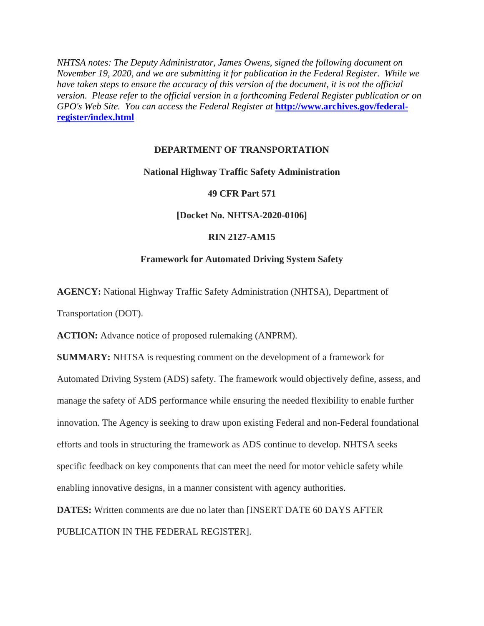*NHTSA notes: The Deputy Administrator, James Owens, signed the following document on November 19, 2020, and we are submitting it for publication in the Federal Register. While we have taken steps to ensure the accuracy of this version of the document, it is not the official version. Please refer to the official version in a forthcoming Federal Register publication or on GPO's Web Site. You can access the Federal Register at* **[http://www.archives.gov/federal](http://www.archives.gov/federal-register/index.html)[register/index.html](http://www.archives.gov/federal-register/index.html)**

# **DEPARTMENT OF TRANSPORTATION**

## **National Highway Traffic Safety Administration**

## **49 CFR Part 571**

# **[Docket No. NHTSA-2020-0106]**

# **RIN 2127-AM15**

## **Framework for Automated Driving System Safety**

**AGENCY:** National Highway Traffic Safety Administration (NHTSA), Department of

Transportation (DOT).

**ACTION:** Advance notice of proposed rulemaking (ANPRM).

**SUMMARY:** NHTSA is requesting comment on the development of a framework for Automated Driving System (ADS) safety. The framework would objectively define, assess, and manage the safety of ADS performance while ensuring the needed flexibility to enable further innovation. The Agency is seeking to draw upon existing Federal and non-Federal foundational efforts and tools in structuring the framework as ADS continue to develop. NHTSA seeks specific feedback on key components that can meet the need for motor vehicle safety while enabling innovative designs, in a manner consistent with agency authorities.

**DATES:** Written comments are due no later than **IINSERT DATE 60 DAYS AFTER** PUBLICATION IN THE FEDERAL REGISTER].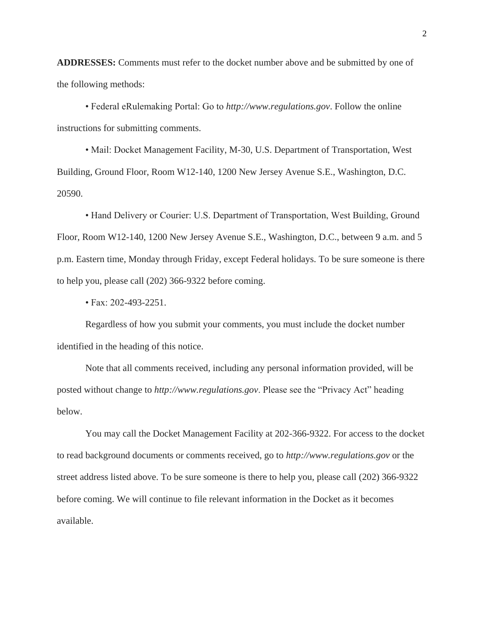**ADDRESSES:** Comments must refer to the docket number above and be submitted by one of the following methods:

• Federal eRulemaking Portal: Go to *http://www.regulations.gov*. Follow the online instructions for submitting comments.

• Mail: Docket Management Facility, M-30, U.S. Department of Transportation, West Building, Ground Floor, Room W12-140, 1200 New Jersey Avenue S.E., Washington, D.C. 20590.

• Hand Delivery or Courier: U.S. Department of Transportation, West Building, Ground Floor, Room W12-140, 1200 New Jersey Avenue S.E., Washington, D.C., between 9 a.m. and 5 p.m. Eastern time, Monday through Friday, except Federal holidays. To be sure someone is there to help you, please call (202) 366-9322 before coming.

• Fax: 202-493-2251.

Regardless of how you submit your comments, you must include the docket number identified in the heading of this notice.

Note that all comments received, including any personal information provided, will be posted without change to *http://www.regulations.gov*. Please see the "Privacy Act" heading below.

You may call the Docket Management Facility at 202-366-9322. For access to the docket to read background documents or comments received, go to *http://www.regulations.gov* or the street address listed above. To be sure someone is there to help you, please call (202) 366-9322 before coming. We will continue to file relevant information in the Docket as it becomes available.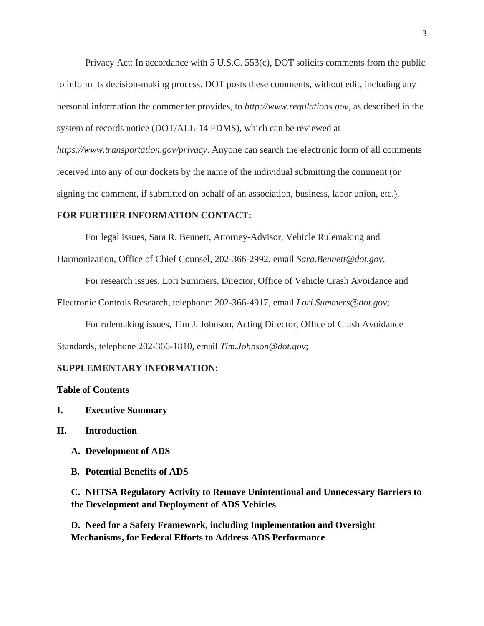Privacy Act: In accordance with [5 U.S.C. 553\(c\),](https://1.next.westlaw.com/Link/Document/FullText?findType=L&pubNum=1000546&cite=5USCAS553&originatingDoc=I311FD5E0FC2C11E784EDD2835AA22DDC&refType=RB&originationContext=document&transitionType=DocumentItem&contextData=(sc.Search)#co_pp_4b24000003ba5) DOT solicits comments from the public to inform its decision-making process. DOT posts these comments, without edit, including any personal information the commenter provides, to *http://www.regulations.gov*, as described in the system of records notice (DOT/ALL-14 FDMS), which can be reviewed at *https://www.transportation.gov/privacy*. Anyone can search the electronic form of all comments received into any of our dockets by the name of the individual submitting the comment (or signing the comment, if submitted on behalf of an association, business, labor union, etc.).

### **FOR FURTHER INFORMATION CONTACT:**

For legal issues, Sara R. Bennett, Attorney-Advisor, Vehicle Rulemaking and

Harmonization, Office of Chief Counsel, 202-366-2992, email *Sara.Bennett@dot.gov*.

For research issues, Lori Summers, Director, Office of Vehicle Crash Avoidance and

Electronic Controls Research, telephone: 202-366-4917, email *Lori.Summers@dot.gov*;

For rulemaking issues, Tim J. Johnson, Acting Director, Office of Crash Avoidance Standards, telephone 202-366-1810, email *Tim.Johnson@dot.gov*;

### **SUPPLEMENTARY INFORMATION:**

# **Table of Contents**

- **I. Executive Summary**
- **II. Introduction**
	- **A. Development of ADS**
	- **B. Potential Benefits of ADS**

**C. NHTSA Regulatory Activity to Remove Unintentional and Unnecessary Barriers to the Development and Deployment of ADS Vehicles** 

**D. Need for a Safety Framework, including Implementation and Oversight Mechanisms, for Federal Efforts to Address ADS Performance**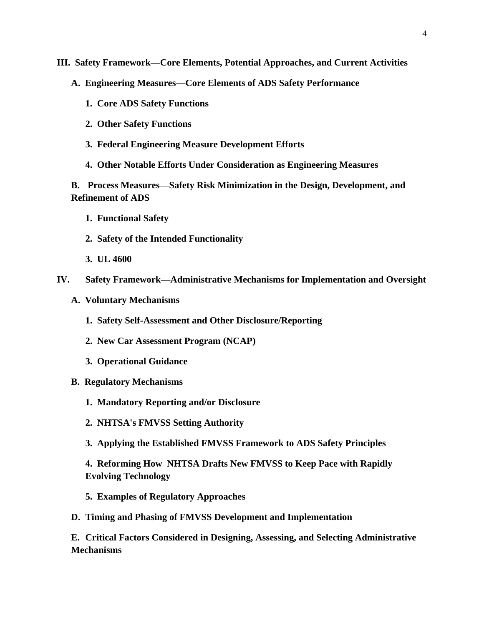- **III. Safety Framework—Core Elements, Potential Approaches, and Current Activities**
	- **A. Engineering Measures—Core Elements of ADS Safety Performance**
		- **1. Core ADS Safety Functions**
		- **2. Other Safety Functions**
		- **3. Federal Engineering Measure Development Efforts**
		- **4. Other Notable Efforts Under Consideration as Engineering Measures**

**B. Process Measures—Safety Risk Minimization in the Design, Development, and Refinement of ADS**

- **1. Functional Safety**
- **2. Safety of the Intended Functionality**
- **3. UL 4600**
- **IV. Safety Framework—Administrative Mechanisms for Implementation and Oversight**
	- **A. Voluntary Mechanisms**
		- **1. Safety Self-Assessment and Other Disclosure/Reporting**
		- **2. New Car Assessment Program (NCAP)**
		- **3. Operational Guidance**
	- **B. Regulatory Mechanisms**
		- **1. Mandatory Reporting and/or Disclosure**
		- **2. NHTSA's FMVSS Setting Authority**
		- **3. Applying the Established FMVSS Framework to ADS Safety Principles**
		- **4. Reforming How NHTSA Drafts New FMVSS to Keep Pace with Rapidly Evolving Technology**
		- **5. Examples of Regulatory Approaches**
	- **D. Timing and Phasing of FMVSS Development and Implementation**

**E. Critical Factors Considered in Designing, Assessing, and Selecting Administrative Mechanisms**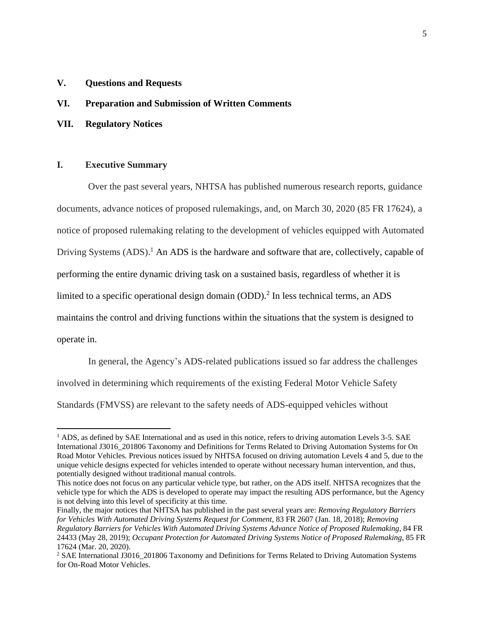# **V. Questions and Requests**

### **VI. Preparation and Submission of Written Comments**

**VII. Regulatory Notices**

## **I. Executive Summary**

 $\overline{\phantom{a}}$ 

Over the past several years, NHTSA has published numerous research reports, guidance documents, advance notices of proposed rulemakings, and, on March 30, 2020 (85 FR 17624), a notice of proposed rulemaking relating to the development of vehicles equipped with Automated Driving Systems (ADS).<sup>1</sup> An ADS is the hardware and software that are, collectively, capable of performing the entire dynamic driving task on a sustained basis, regardless of whether it is limited to a specific operational design domain  $(ODD)$ .<sup>2</sup> In less technical terms, an ADS maintains the control and driving functions within the situations that the system is designed to operate in.

In general, the Agency's ADS-related publications issued so far address the challenges involved in determining which requirements of the existing Federal Motor Vehicle Safety Standards (FMVSS) are relevant to the safety needs of ADS-equipped vehicles without

<sup>&</sup>lt;sup>1</sup> ADS, as defined by SAE International and as used in this notice, refers to driving automation Levels 3-5. SAE International J3016\_201806 Taxonomy and Definitions for Terms Related to Driving Automation Systems for On Road Motor Vehicles. Previous notices issued by NHTSA focused on driving automation Levels 4 and 5, due to the unique vehicle designs expected for vehicles intended to operate without necessary human intervention, and thus, potentially designed without traditional manual controls.

This notice does not focus on any particular vehicle type, but rather, on the ADS itself. NHTSA recognizes that the vehicle type for which the ADS is developed to operate may impact the resulting ADS performance, but the Agency is not delving into this level of specificity at this time.

Finally, the major notices that NHTSA has published in the past several years are: *Removing Regulatory Barriers for Vehicles With Automated Driving Systems Request for Comment*, 83 FR 2607 (Jan. 18, 2018); *Removing Regulatory Barriers for Vehicles With Automated Driving Systems Advance Notice of Proposed Rulemaking*, 84 FR 24433 (May 28, 2019); *Occupant Protection for Automated Driving Systems Notice of Proposed Rulemaking*, 85 FR 17624 (Mar. 20, 2020).

<sup>&</sup>lt;sup>2</sup> SAE International J3016\_201806 Taxonomy and Definitions for Terms Related to Driving Automation Systems for On-Road Motor Vehicles.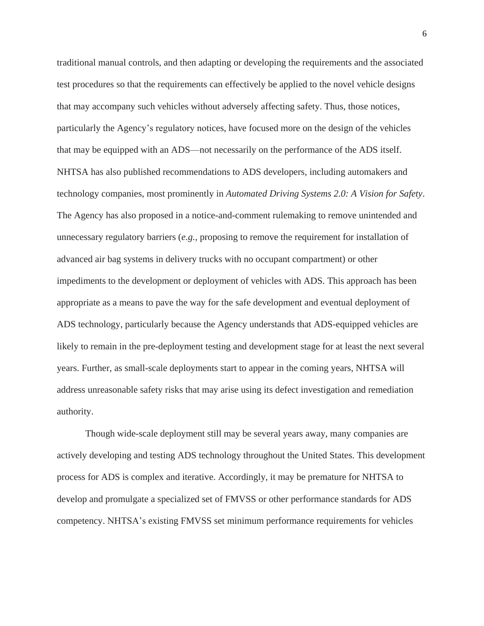traditional manual controls, and then adapting or developing the requirements and the associated test procedures so that the requirements can effectively be applied to the novel vehicle designs that may accompany such vehicles without adversely affecting safety. Thus, those notices, particularly the Agency's regulatory notices, have focused more on the design of the vehicles that may be equipped with an ADS—not necessarily on the performance of the ADS itself. NHTSA has also published recommendations to ADS developers, including automakers and technology companies, most prominently in *Automated Driving Systems 2.0: A Vision for Safety*. The Agency has also proposed in a notice-and-comment rulemaking to remove unintended and unnecessary regulatory barriers (*e.g.,* proposing to remove the requirement for installation of advanced air bag systems in delivery trucks with no occupant compartment) or other impediments to the development or deployment of vehicles with ADS. This approach has been appropriate as a means to pave the way for the safe development and eventual deployment of ADS technology, particularly because the Agency understands that ADS-equipped vehicles are likely to remain in the pre-deployment testing and development stage for at least the next several years. Further, as small-scale deployments start to appear in the coming years, NHTSA will address unreasonable safety risks that may arise using its defect investigation and remediation authority.

Though wide-scale deployment still may be several years away, many companies are actively developing and testing ADS technology throughout the United States. This development process for ADS is complex and iterative. Accordingly, it may be premature for NHTSA to develop and promulgate a specialized set of FMVSS or other performance standards for ADS competency. NHTSA's existing FMVSS set minimum performance requirements for vehicles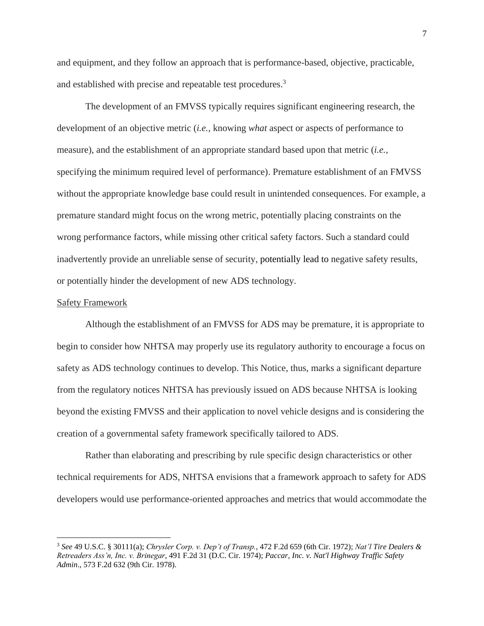and equipment, and they follow an approach that is performance-based, objective, practicable, and established with precise and repeatable test procedures.<sup>3</sup>

The development of an FMVSS typically requires significant engineering research, the development of an objective metric (*i.e.,* knowing *what* aspect or aspects of performance to measure), and the establishment of an appropriate standard based upon that metric (*i.e.,* specifying the minimum required level of performance). Premature establishment of an FMVSS without the appropriate knowledge base could result in unintended consequences. For example, a premature standard might focus on the wrong metric, potentially placing constraints on the wrong performance factors, while missing other critical safety factors. Such a standard could inadvertently provide an unreliable sense of security, potentially lead to negative safety results, or potentially hinder the development of new ADS technology.

#### Safety Framework

 $\overline{\phantom{a}}$ 

Although the establishment of an FMVSS for ADS may be premature, it is appropriate to begin to consider how NHTSA may properly use its regulatory authority to encourage a focus on safety as ADS technology continues to develop. This Notice, thus, marks a significant departure from the regulatory notices NHTSA has previously issued on ADS because NHTSA is looking beyond the existing FMVSS and their application to novel vehicle designs and is considering the creation of a governmental safety framework specifically tailored to ADS.

Rather than elaborating and prescribing by rule specific design characteristics or other technical requirements for ADS, NHTSA envisions that a framework approach to safety for ADS developers would use performance-oriented approaches and metrics that would accommodate the

<sup>3</sup> *See* 49 U.S.C. § 30111(a); *Chrysler Corp. v. Dep't of Transp.*, 472 F.2d 659 (6th Cir. 1972); *Nat'l Tire Dealers & Retreaders Ass'n, Inc. v. Brinegar*, 491 F.2d 31 (D.C. Cir. 1974); *Paccar, Inc. v. Nat'l Highway Traffic Safety Admin*., 573 F.2d 632 (9th Cir. 1978).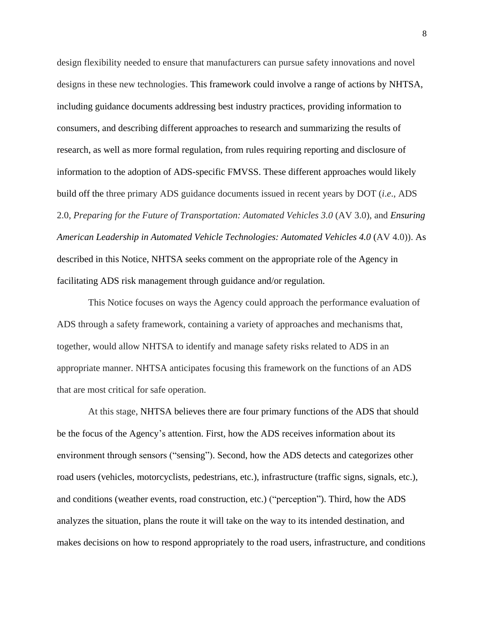design flexibility needed to ensure that manufacturers can pursue safety innovations and novel designs in these new technologies. This framework could involve a range of actions by NHTSA, including guidance documents addressing best industry practices, providing information to consumers, and describing different approaches to research and summarizing the results of research, as well as more formal regulation, from rules requiring reporting and disclosure of information to the adoption of ADS-specific FMVSS. These different approaches would likely build off the three primary ADS guidance documents issued in recent years by DOT (*i*.*e*., ADS 2.0, *Preparing for the Future of Transportation: Automated Vehicles 3.0* (AV 3.0), and *Ensuring American Leadership in Automated Vehicle Technologies: Automated Vehicles 4.0 (AV 4.0)). As* described in this Notice, NHTSA seeks comment on the appropriate role of the Agency in facilitating ADS risk management through guidance and/or regulation.

This Notice focuses on ways the Agency could approach the performance evaluation of ADS through a safety framework, containing a variety of approaches and mechanisms that, together, would allow NHTSA to identify and manage safety risks related to ADS in an appropriate manner. NHTSA anticipates focusing this framework on the functions of an ADS that are most critical for safe operation.

At this stage, NHTSA believes there are four primary functions of the ADS that should be the focus of the Agency's attention. First, how the ADS receives information about its environment through sensors ("sensing"). Second, how the ADS detects and categorizes other road users (vehicles, motorcyclists, pedestrians, etc.), infrastructure (traffic signs, signals, etc.), and conditions (weather events, road construction, etc.) ("perception"). Third, how the ADS analyzes the situation, plans the route it will take on the way to its intended destination, and makes decisions on how to respond appropriately to the road users, infrastructure, and conditions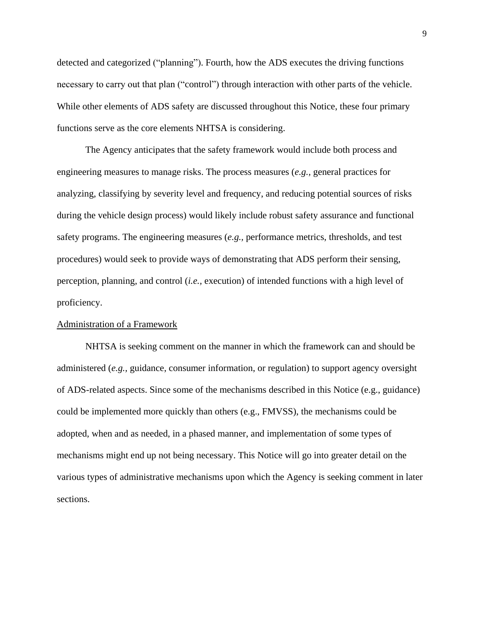detected and categorized ("planning"). Fourth, how the ADS executes the driving functions necessary to carry out that plan ("control") through interaction with other parts of the vehicle. While other elements of ADS safety are discussed throughout this Notice, these four primary functions serve as the core elements NHTSA is considering.

The Agency anticipates that the safety framework would include both process and engineering measures to manage risks. The process measures (*e.g.,* general practices for analyzing, classifying by severity level and frequency, and reducing potential sources of risks during the vehicle design process) would likely include robust safety assurance and functional safety programs. The engineering measures (*e.g.,* performance metrics, thresholds, and test procedures) would seek to provide ways of demonstrating that ADS perform their sensing, perception, planning, and control (*i.e.,* execution) of intended functions with a high level of proficiency.

### Administration of a Framework

NHTSA is seeking comment on the manner in which the framework can and should be administered (*e.g.,* guidance, consumer information, or regulation) to support agency oversight of ADS-related aspects. Since some of the mechanisms described in this Notice (e.g., guidance) could be implemented more quickly than others (e.g., FMVSS), the mechanisms could be adopted, when and as needed, in a phased manner, and implementation of some types of mechanisms might end up not being necessary. This Notice will go into greater detail on the various types of administrative mechanisms upon which the Agency is seeking comment in later sections.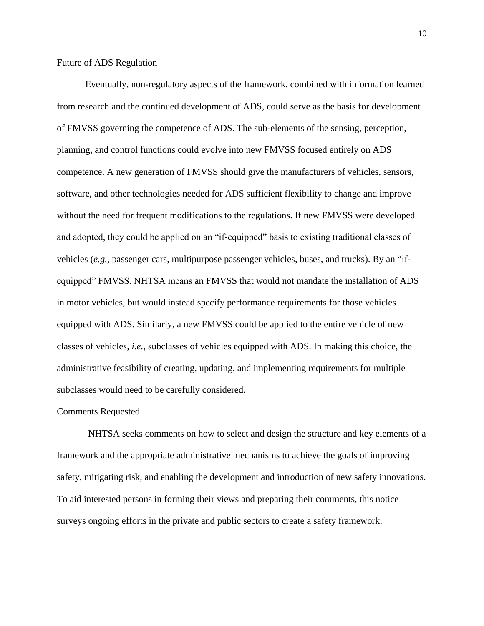### Future of ADS Regulation

Eventually, non-regulatory aspects of the framework, combined with information learned from research and the continued development of ADS, could serve as the basis for development of FMVSS governing the competence of ADS. The sub-elements of the sensing, perception, planning, and control functions could evolve into new FMVSS focused entirely on ADS competence. A new generation of FMVSS should give the manufacturers of vehicles, sensors, software, and other technologies needed for ADS sufficient flexibility to change and improve without the need for frequent modifications to the regulations. If new FMVSS were developed and adopted, they could be applied on an "if-equipped" basis to existing traditional classes of vehicles (*e.g.,* passenger cars, multipurpose passenger vehicles, buses, and trucks). By an "ifequipped" FMVSS, NHTSA means an FMVSS that would not mandate the installation of ADS in motor vehicles, but would instead specify performance requirements for those vehicles equipped with ADS. Similarly, a new FMVSS could be applied to the entire vehicle of new classes of vehicles, *i.e.*, subclasses of vehicles equipped with ADS. In making this choice, the administrative feasibility of creating, updating, and implementing requirements for multiple subclasses would need to be carefully considered.

#### Comments Requested

NHTSA seeks comments on how to select and design the structure and key elements of a framework and the appropriate administrative mechanisms to achieve the goals of improving safety, mitigating risk, and enabling the development and introduction of new safety innovations. To aid interested persons in forming their views and preparing their comments, this notice surveys ongoing efforts in the private and public sectors to create a safety framework.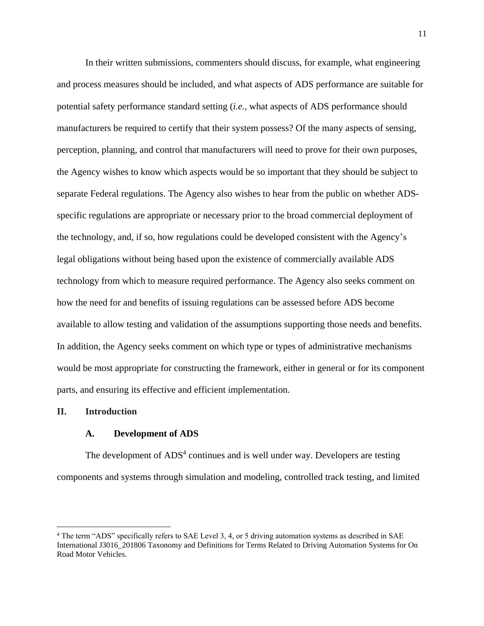In their written submissions, commenters should discuss, for example, what engineering and process measures should be included, and what aspects of ADS performance are suitable for potential safety performance standard setting (*i.e.,* what aspects of ADS performance should manufacturers be required to certify that their system possess? Of the many aspects of sensing, perception, planning, and control that manufacturers will need to prove for their own purposes, the Agency wishes to know which aspects would be so important that they should be subject to separate Federal regulations. The Agency also wishes to hear from the public on whether ADSspecific regulations are appropriate or necessary prior to the broad commercial deployment of the technology, and, if so, how regulations could be developed consistent with the Agency's legal obligations without being based upon the existence of commercially available ADS technology from which to measure required performance. The Agency also seeks comment on how the need for and benefits of issuing regulations can be assessed before ADS become available to allow testing and validation of the assumptions supporting those needs and benefits. In addition, the Agency seeks comment on which type or types of administrative mechanisms would be most appropriate for constructing the framework, either in general or for its component parts, and ensuring its effective and efficient implementation.

### **II. Introduction**

 $\overline{\phantom{a}}$ 

#### **A. Development of ADS**

The development of ADS<sup>4</sup> continues and is well under way. Developers are testing components and systems through simulation and modeling, controlled track testing, and limited

<sup>4</sup> The term "ADS" specifically refers to SAE Level 3, 4, or 5 driving automation systems as described in SAE International J3016\_201806 Taxonomy and Definitions for Terms Related to Driving Automation Systems for On Road Motor Vehicles.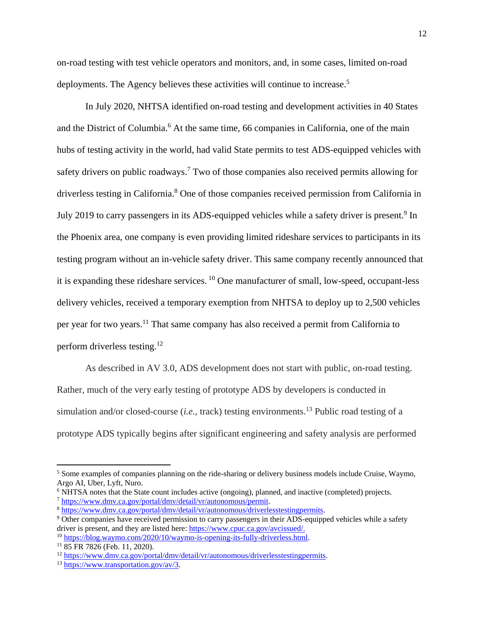on-road testing with test vehicle operators and monitors, and, in some cases, limited on-road deployments. The Agency believes these activities will continue to increase.<sup>5</sup>

In July 2020, NHTSA identified on-road testing and development activities in 40 States and the District of Columbia.<sup>6</sup> At the same time, 66 companies in California, one of the main hubs of testing activity in the world, had valid State permits to test ADS-equipped vehicles with safety drivers on public roadways.<sup>7</sup> Two of those companies also received permits allowing for driverless testing in California. <sup>8</sup> One of those companies received permission from California in July 2019 to carry passengers in its ADS-equipped vehicles while a safety driver is present.<sup>9</sup> In the Phoenix area, one company is even providing limited rideshare services to participants in its testing program without an in-vehicle safety driver. This same company recently announced that it is expanding these rideshare services. <sup>10</sup> One manufacturer of small, low-speed, occupant-less delivery vehicles, received a temporary exemption from NHTSA to deploy up to 2,500 vehicles per year for two years.<sup>11</sup> That same company has also received a permit from California to perform driverless testing.<sup>12</sup>

As described in AV 3.0, ADS development does not start with public, on-road testing. Rather, much of the very early testing of prototype ADS by developers is conducted in simulation and/or closed-course (*i.e.*, track) testing environments.<sup>13</sup> Public road testing of a prototype ADS typically begins after significant engineering and safety analysis are performed

<sup>5</sup> Some examples of companies planning on the ride-sharing or delivery business models include Cruise, Waymo, Argo AI, Uber, Lyft, Nuro.

<sup>6</sup> NHTSA notes that the State count includes active (ongoing), planned, and inactive (completed) projects. <sup>7</sup> [https://www.dmv.ca.gov/portal/dmv/detail/vr/autonomous/permit.](https://www.dmv.ca.gov/portal/dmv/detail/vr/autonomous/permit)

<sup>8</sup> [https://www.dmv.ca.gov/portal/dmv/detail/vr/autonomous/driverlesstestingpermits.](https://www.dmv.ca.gov/portal/dmv/detail/vr/autonomous/driverlesstestingpermits)

<sup>&</sup>lt;sup>9</sup> Other companies have received permission to carry passengers in their ADS-equipped vehicles while a safety driver is present, and they are listed here: [https://www.cpuc.ca.gov/avcissued/.](https://www.cpuc.ca.gov/avcissued/)

<sup>10</sup> [https://blog.waymo.com/2020/10/waymo-is-opening-its-fully-driverless.html.](https://blog.waymo.com/2020/10/waymo-is-opening-its-fully-driverless.html)

<sup>11</sup> 85 FR 7826 (Feb. 11, 2020).

<sup>&</sup>lt;sup>12</sup> https://www.dmv.ca.gov/portal/dmv/detail/vr/autonomous/driverlesstestingpermits.

<sup>&</sup>lt;sup>13</sup> [https://www.transportation.gov/av/3.](https://www.transportation.gov/av/3)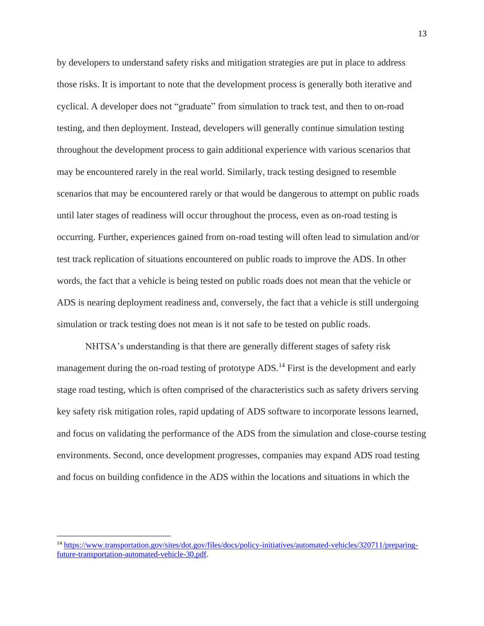by developers to understand safety risks and mitigation strategies are put in place to address those risks. It is important to note that the development process is generally both iterative and cyclical. A developer does not "graduate" from simulation to track test, and then to on-road testing, and then deployment. Instead, developers will generally continue simulation testing throughout the development process to gain additional experience with various scenarios that may be encountered rarely in the real world. Similarly, track testing designed to resemble scenarios that may be encountered rarely or that would be dangerous to attempt on public roads until later stages of readiness will occur throughout the process, even as on-road testing is occurring. Further, experiences gained from on-road testing will often lead to simulation and/or test track replication of situations encountered on public roads to improve the ADS. In other words, the fact that a vehicle is being tested on public roads does not mean that the vehicle or ADS is nearing deployment readiness and, conversely, the fact that a vehicle is still undergoing simulation or track testing does not mean is it not safe to be tested on public roads.

NHTSA's understanding is that there are generally different stages of safety risk management during the on-road testing of prototype ADS.<sup>14</sup> First is the development and early stage road testing, which is often comprised of the characteristics such as safety drivers serving key safety risk mitigation roles, rapid updating of ADS software to incorporate lessons learned, and focus on validating the performance of the ADS from the simulation and close-course testing environments. Second, once development progresses, companies may expand ADS road testing and focus on building confidence in the ADS within the locations and situations in which the

<sup>14</sup> [https://www.transportation.gov/sites/dot.gov/files/docs/policy-initiatives/automated-vehicles/320711/preparing](https://www.transportation.gov/sites/dot.gov/files/docs/policy-initiatives/automated-vehicles/320711/preparing-future-transportation-automated-vehicle-30.pdf)[future-transportation-automated-vehicle-30.pdf.](https://www.transportation.gov/sites/dot.gov/files/docs/policy-initiatives/automated-vehicles/320711/preparing-future-transportation-automated-vehicle-30.pdf)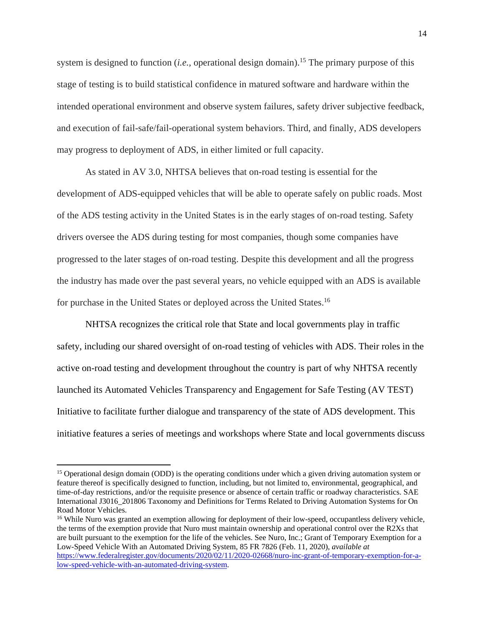system is designed to function *(i.e., operational design domain)*.<sup>15</sup> The primary purpose of this stage of testing is to build statistical confidence in matured software and hardware within the intended operational environment and observe system failures, safety driver subjective feedback, and execution of fail-safe/fail-operational system behaviors. Third, and finally, ADS developers may progress to deployment of ADS, in either limited or full capacity.

As stated in AV 3.0, NHTSA believes that on-road testing is essential for the development of ADS-equipped vehicles that will be able to operate safely on public roads. Most of the ADS testing activity in the United States is in the early stages of on-road testing. Safety drivers oversee the ADS during testing for most companies, though some companies have progressed to the later stages of on-road testing. Despite this development and all the progress the industry has made over the past several years, no vehicle equipped with an ADS is available for purchase in the United States or deployed across the United States.<sup>16</sup>

NHTSA recognizes the critical role that State and local governments play in traffic safety, including our shared oversight of on-road testing of vehicles with ADS. Their roles in the active on-road testing and development throughout the country is part of why NHTSA recently launched its Automated Vehicles Transparency and Engagement for Safe Testing (AV TEST) Initiative to facilitate further dialogue and transparency of the state of ADS development. This initiative features a series of meetings and workshops where State and local governments discuss

<sup>&</sup>lt;sup>15</sup> Operational design domain (ODD) is the operating conditions under which a given driving automation system or feature thereof is specifically designed to function, including, but not limited to, environmental, geographical, and time-of-day restrictions, and/or the requisite presence or absence of certain traffic or roadway characteristics. SAE International J3016\_201806 Taxonomy and Definitions for Terms Related to Driving Automation Systems for On Road Motor Vehicles.

<sup>&</sup>lt;sup>16</sup> While Nuro was granted an exemption allowing for deployment of their low-speed, occupantless delivery vehicle, the terms of the exemption provide that Nuro must maintain ownership and operational control over the R2Xs that are built pursuant to the exemption for the life of the vehicles. See Nuro, Inc.; Grant of Temporary Exemption for a Low-Speed Vehicle With an Automated Driving System, 85 FR 7826 (Feb. 11, 2020), *available at* [https://www.federalregister.gov/documents/2020/02/11/2020-02668/nuro-inc-grant-of-temporary-exemption-for-a](https://www.federalregister.gov/documents/2020/02/11/2020-02668/nuro-inc-grant-of-temporary-exemption-for-a-low-speed-vehicle-with-an-automated-driving-system)[low-speed-vehicle-with-an-automated-driving-system.](https://www.federalregister.gov/documents/2020/02/11/2020-02668/nuro-inc-grant-of-temporary-exemption-for-a-low-speed-vehicle-with-an-automated-driving-system)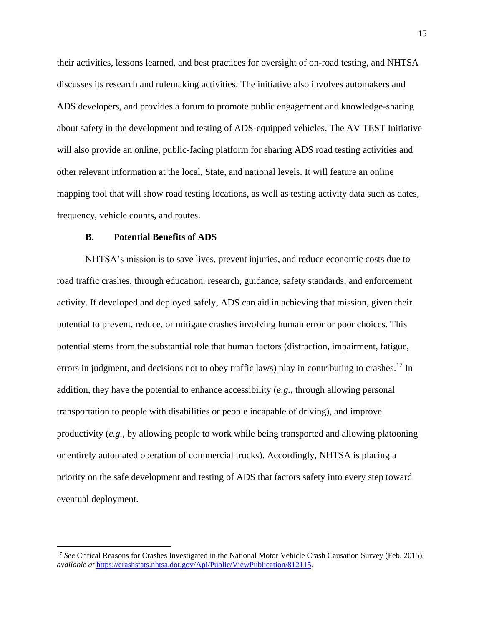their activities, lessons learned, and best practices for oversight of on-road testing, and NHTSA discusses its research and rulemaking activities. The initiative also involves automakers and ADS developers, and provides a forum to promote public engagement and knowledge-sharing about safety in the development and testing of ADS-equipped vehicles. The AV TEST Initiative will also provide an online, public-facing platform for sharing ADS road testing activities and other relevant information at the local, State, and national levels. It will feature an online mapping tool that will show road testing locations, as well as testing activity data such as dates, frequency, vehicle counts, and routes.

### **B. Potential Benefits of ADS**

 $\overline{\phantom{a}}$ 

NHTSA's mission is to save lives, prevent injuries, and reduce economic costs due to road traffic crashes, through education, research, guidance, safety standards, and enforcement activity. If developed and deployed safely, ADS can aid in achieving that mission, given their potential to prevent, reduce, or mitigate crashes involving human error or poor choices. This potential stems from the substantial role that human factors (distraction, impairment, fatigue, errors in judgment, and decisions not to obey traffic laws) play in contributing to crashes.<sup>17</sup> In addition, they have the potential to enhance accessibility (*e.g.,* through allowing personal transportation to people with disabilities or people incapable of driving), and improve productivity (*e.g.,* by allowing people to work while being transported and allowing platooning or entirely automated operation of commercial trucks). Accordingly, NHTSA is placing a priority on the safe development and testing of ADS that factors safety into every step toward eventual deployment.

<sup>17</sup> *See* Critical Reasons for Crashes Investigated in the National Motor Vehicle Crash Causation Survey (Feb. 2015), *available at* <https://crashstats.nhtsa.dot.gov/Api/Public/ViewPublication/812115>*.*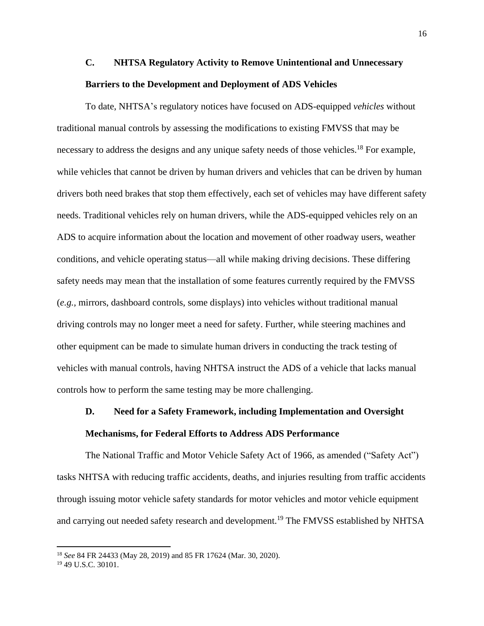# **C. NHTSA Regulatory Activity to Remove Unintentional and Unnecessary Barriers to the Development and Deployment of ADS Vehicles**

To date, NHTSA's regulatory notices have focused on ADS-equipped *vehicles* without traditional manual controls by assessing the modifications to existing FMVSS that may be necessary to address the designs and any unique safety needs of those vehicles.<sup>18</sup> For example, while vehicles that cannot be driven by human drivers and vehicles that can be driven by human drivers both need brakes that stop them effectively, each set of vehicles may have different safety needs. Traditional vehicles rely on human drivers, while the ADS-equipped vehicles rely on an ADS to acquire information about the location and movement of other roadway users, weather conditions, and vehicle operating status—all while making driving decisions. These differing safety needs may mean that the installation of some features currently required by the FMVSS (*e.g.,* mirrors, dashboard controls, some displays) into vehicles without traditional manual driving controls may no longer meet a need for safety. Further, while steering machines and other equipment can be made to simulate human drivers in conducting the track testing of vehicles with manual controls, having NHTSA instruct the ADS of a vehicle that lacks manual controls how to perform the same testing may be more challenging.

# **D. Need for a Safety Framework, including Implementation and Oversight Mechanisms, for Federal Efforts to Address ADS Performance**

The National Traffic and Motor Vehicle Safety Act of 1966, as amended ("Safety Act") tasks NHTSA with reducing traffic accidents, deaths, and injuries resulting from traffic accidents through issuing motor vehicle safety standards for motor vehicles and motor vehicle equipment and carrying out needed safety research and development.<sup>19</sup> The FMVSS established by NHTSA

<sup>18</sup> *See* 84 FR 24433 (May 28, 2019) and 85 FR 17624 (Mar. 30, 2020).

<sup>19</sup> 49 U.S.C. 30101.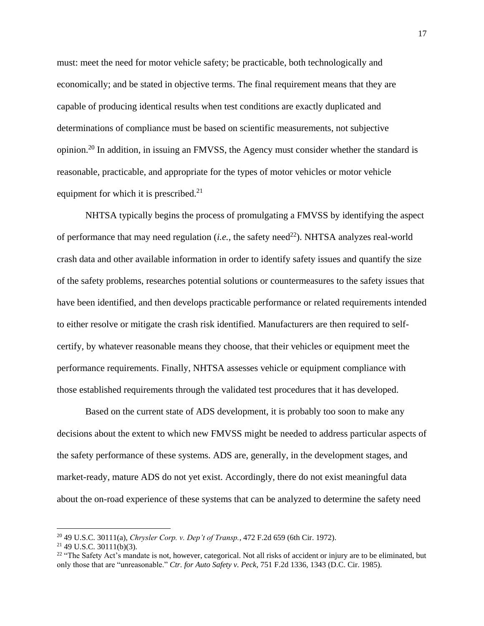must: meet the need for motor vehicle safety; be practicable, both technologically and economically; and be stated in objective terms. The final requirement means that they are capable of producing identical results when test conditions are exactly duplicated and determinations of compliance must be based on scientific measurements, not subjective opinion.<sup>20</sup> In addition, in issuing an FMVSS, the Agency must consider whether the standard is reasonable, practicable, and appropriate for the types of motor vehicles or motor vehicle equipment for which it is prescribed. $21$ 

NHTSA typically begins the process of promulgating a FMVSS by identifying the aspect of performance that may need regulation *(i.e.,* the safety need<sup>22</sup>). NHTSA analyzes real-world crash data and other available information in order to identify safety issues and quantify the size of the safety problems, researches potential solutions or countermeasures to the safety issues that have been identified, and then develops practicable performance or related requirements intended to either resolve or mitigate the crash risk identified. Manufacturers are then required to selfcertify, by whatever reasonable means they choose, that their vehicles or equipment meet the performance requirements. Finally, NHTSA assesses vehicle or equipment compliance with those established requirements through the validated test procedures that it has developed.

Based on the current state of ADS development, it is probably too soon to make any decisions about the extent to which new FMVSS might be needed to address particular aspects of the safety performance of these systems. ADS are, generally, in the development stages, and market-ready, mature ADS do not yet exist. Accordingly, there do not exist meaningful data about the on-road experience of these systems that can be analyzed to determine the safety need

<sup>20</sup> 49 U.S.C. 30111(a), *Chrysler Corp. v. Dep't of Transp.*, 472 F.2d 659 (6th Cir. 1972).

 $21$  49 U.S.C. 30111(b)(3).

<sup>&</sup>lt;sup>22</sup> "The Safety Act's mandate is not, however, categorical. Not all risks of accident or injury are to be eliminated, but only those that are "unreasonable." *Ctr. for Auto Safety v. Peck*, 751 F.2d 1336, 1343 (D.C. Cir. 1985).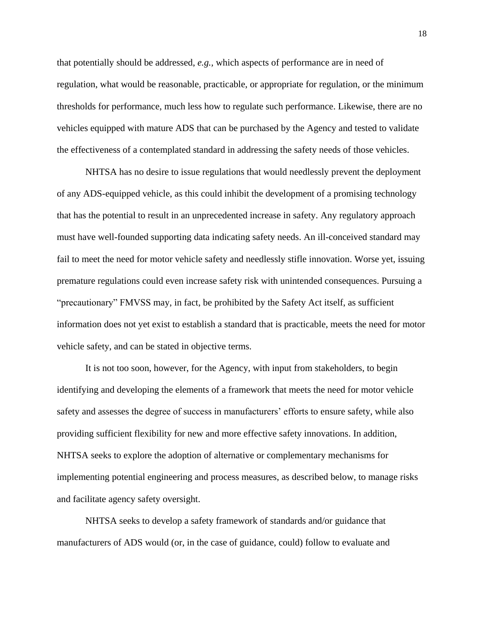that potentially should be addressed, *e.g.,* which aspects of performance are in need of regulation, what would be reasonable, practicable, or appropriate for regulation, or the minimum thresholds for performance, much less how to regulate such performance. Likewise, there are no vehicles equipped with mature ADS that can be purchased by the Agency and tested to validate the effectiveness of a contemplated standard in addressing the safety needs of those vehicles.

NHTSA has no desire to issue regulations that would needlessly prevent the deployment of any ADS-equipped vehicle, as this could inhibit the development of a promising technology that has the potential to result in an unprecedented increase in safety. Any regulatory approach must have well-founded supporting data indicating safety needs. An ill-conceived standard may fail to meet the need for motor vehicle safety and needlessly stifle innovation. Worse yet, issuing premature regulations could even increase safety risk with unintended consequences. Pursuing a "precautionary" FMVSS may, in fact, be prohibited by the Safety Act itself, as sufficient information does not yet exist to establish a standard that is practicable, meets the need for motor vehicle safety, and can be stated in objective terms.

It is not too soon, however, for the Agency, with input from stakeholders, to begin identifying and developing the elements of a framework that meets the need for motor vehicle safety and assesses the degree of success in manufacturers' efforts to ensure safety, while also providing sufficient flexibility for new and more effective safety innovations. In addition, NHTSA seeks to explore the adoption of alternative or complementary mechanisms for implementing potential engineering and process measures, as described below, to manage risks and facilitate agency safety oversight.

NHTSA seeks to develop a safety framework of standards and/or guidance that manufacturers of ADS would (or, in the case of guidance, could) follow to evaluate and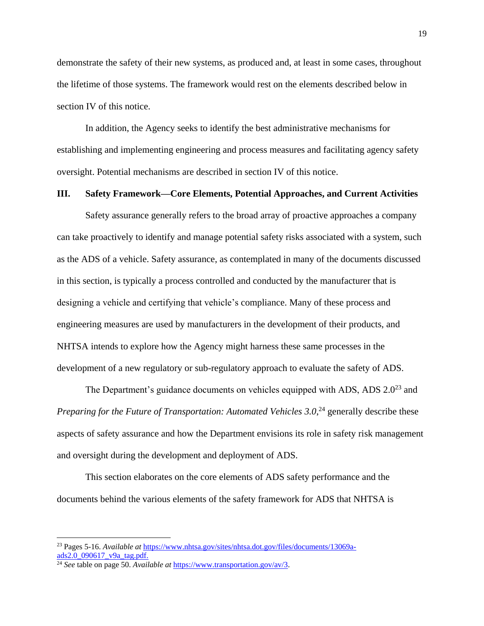demonstrate the safety of their new systems, as produced and, at least in some cases, throughout the lifetime of those systems. The framework would rest on the elements described below in section IV of this notice.

In addition, the Agency seeks to identify the best administrative mechanisms for establishing and implementing engineering and process measures and facilitating agency safety oversight. Potential mechanisms are described in section IV of this notice.

## **III. Safety Framework—Core Elements, Potential Approaches, and Current Activities**

Safety assurance generally refers to the broad array of proactive approaches a company can take proactively to identify and manage potential safety risks associated with a system, such as the ADS of a vehicle. Safety assurance, as contemplated in many of the documents discussed in this section, is typically a process controlled and conducted by the manufacturer that is designing a vehicle and certifying that vehicle's compliance. Many of these process and engineering measures are used by manufacturers in the development of their products, and NHTSA intends to explore how the Agency might harness these same processes in the development of a new regulatory or sub-regulatory approach to evaluate the safety of ADS.

The Department's guidance documents on vehicles equipped with ADS, ADS  $2.0^{23}$  and Preparing for the Future of Transportation: Automated Vehicles 3.0,<sup>24</sup> generally describe these aspects of safety assurance and how the Department envisions its role in safety risk management and oversight during the development and deployment of ADS.

This section elaborates on the core elements of ADS safety performance and the documents behind the various elements of the safety framework for ADS that NHTSA is

<sup>23</sup> Pages 5-16. *Available at* [https://www.nhtsa.gov/sites/nhtsa.dot.gov/files/documents/13069a](https://www.nhtsa.gov/sites/nhtsa.dot.gov/files/documents/13069a-ads2.0_090617_v9a_tag.pdf)[ads2.0\\_090617\\_v9a\\_tag.pdf.](https://www.nhtsa.gov/sites/nhtsa.dot.gov/files/documents/13069a-ads2.0_090617_v9a_tag.pdf)

<sup>24</sup> *See* table on page 50. *Available at* [https://www.transportation.gov/av/3.](https://www.transportation.gov/av/3)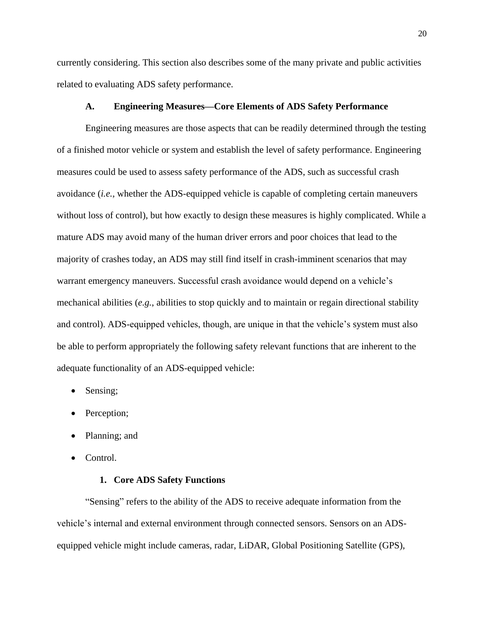currently considering. This section also describes some of the many private and public activities related to evaluating ADS safety performance.

### **A. Engineering Measures—Core Elements of ADS Safety Performance**

Engineering measures are those aspects that can be readily determined through the testing of a finished motor vehicle or system and establish the level of safety performance. Engineering measures could be used to assess safety performance of the ADS, such as successful crash avoidance (*i.e.,* whether the ADS-equipped vehicle is capable of completing certain maneuvers without loss of control), but how exactly to design these measures is highly complicated. While a mature ADS may avoid many of the human driver errors and poor choices that lead to the majority of crashes today, an ADS may still find itself in crash-imminent scenarios that may warrant emergency maneuvers. Successful crash avoidance would depend on a vehicle's mechanical abilities (*e.g.*, abilities to stop quickly and to maintain or regain directional stability and control). ADS-equipped vehicles, though, are unique in that the vehicle's system must also be able to perform appropriately the following safety relevant functions that are inherent to the adequate functionality of an ADS-equipped vehicle:

- Sensing;
- Perception;
- Planning; and
- Control.

# **1. Core ADS Safety Functions**

"Sensing" refers to the ability of the ADS to receive adequate information from the vehicle's internal and external environment through connected sensors. Sensors on an ADSequipped vehicle might include cameras, radar, LiDAR, Global Positioning Satellite (GPS),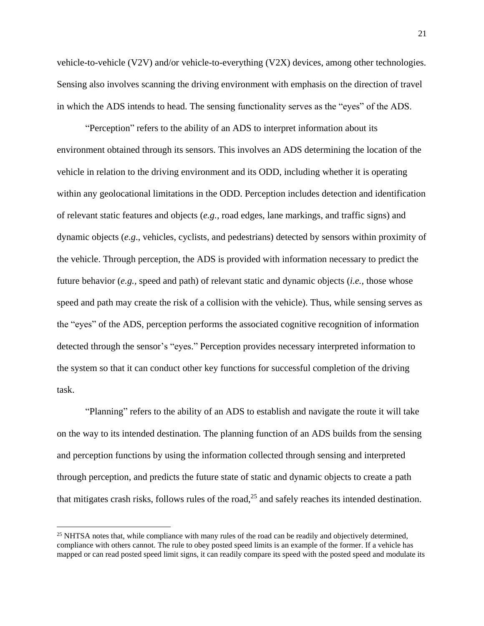vehicle-to-vehicle (V2V) and/or vehicle-to-everything (V2X) devices, among other technologies. Sensing also involves scanning the driving environment with emphasis on the direction of travel in which the ADS intends to head. The sensing functionality serves as the "eyes" of the ADS.

"Perception" refers to the ability of an ADS to interpret information about its environment obtained through its sensors. This involves an ADS determining the location of the vehicle in relation to the driving environment and its ODD, including whether it is operating within any geolocational limitations in the ODD. Perception includes detection and identification of relevant static features and objects (*e.g.,* road edges, lane markings, and traffic signs) and dynamic objects (*e.g*., vehicles, cyclists, and pedestrians) detected by sensors within proximity of the vehicle. Through perception, the ADS is provided with information necessary to predict the future behavior (*e.g.,* speed and path) of relevant static and dynamic objects (*i.e.,* those whose speed and path may create the risk of a collision with the vehicle). Thus, while sensing serves as the "eyes" of the ADS, perception performs the associated cognitive recognition of information detected through the sensor's "eyes." Perception provides necessary interpreted information to the system so that it can conduct other key functions for successful completion of the driving task.

"Planning" refers to the ability of an ADS to establish and navigate the route it will take on the way to its intended destination. The planning function of an ADS builds from the sensing and perception functions by using the information collected through sensing and interpreted through perception, and predicts the future state of static and dynamic objects to create a path that mitigates crash risks, follows rules of the road,<sup>25</sup> and safely reaches its intended destination.

<sup>&</sup>lt;sup>25</sup> NHTSA notes that, while compliance with many rules of the road can be readily and objectively determined, compliance with others cannot. The rule to obey posted speed limits is an example of the former. If a vehicle has mapped or can read posted speed limit signs, it can readily compare its speed with the posted speed and modulate its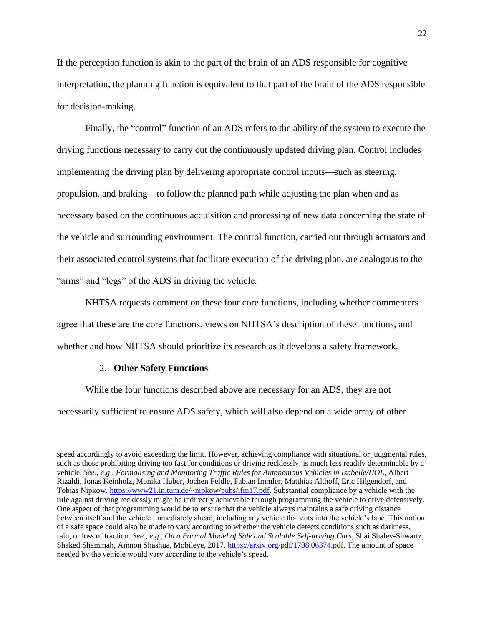If the perception function is akin to the part of the brain of an ADS responsible for cognitive interpretation, the planning function is equivalent to that part of the brain of the ADS responsible for decision-making.

Finally, the "control" function of an ADS refers to the ability of the system to execute the driving functions necessary to carry out the continuously updated driving plan. Control includes implementing the driving plan by delivering appropriate control inputs—such as steering, propulsion, and braking—to follow the planned path while adjusting the plan when and as necessary based on the continuous acquisition and processing of new data concerning the state of the vehicle and surrounding environment. The control function, carried out through actuators and their associated control systems that facilitate execution of the driving plan, are analogous to the "arms" and "legs" of the ADS in driving the vehicle.

NHTSA requests comment on these four core functions, including whether commenters agree that these are the core functions, views on NHTSA's description of these functions, and whether and how NHTSA should prioritize its research as it develops a safety framework.

### 2. **Other Safety Functions**

 $\overline{\phantom{a}}$ 

While the four functions described above are necessary for an ADS, they are not necessarily sufficient to ensure ADS safety, which will also depend on a wide array of other

speed accordingly to avoid exceeding the limit. However, achieving compliance with situational or judgmental rules, such as those prohibiting driving too fast for conditions or driving recklessly, is much less readily determinable by a vehicle. *See*., *e*.*g*., *Formalising and Monitoring Traffic Rules for Autonomous Vehicles in Isabelle/HOL*, Albert Rizaldi, Jonas Keinholz, Monika Huber, Jochen Feldle, Fabian Immler, Matthias Althoff, Eric Hilgendorf, and Tobias Nipkow. [https://www21.in.tum.de/~nipkow/pubs/ifm17.pdf.](https://www21.in.tum.de/~nipkow/pubs/ifm17.pdf) Substantial compliance by a vehicle with the rule against driving recklessly might be indirectly achievable through programming the vehicle to drive defensively. One aspect of that programming would be to ensure that the vehicle always maintains a safe driving distance between itself and the vehicle immediately ahead, including any vehicle that cuts into the vehicle's lane. This notion of a safe space could also be made to vary according to whether the vehicle detects conditions such as darkness, rain, or loss of traction. *See*., *e*.*g*., *On a Formal Model of Safe and Scalable Self-driving Cars*, Shai Shalev-Shwartz, Shaked Shammah, Amnon Shashua, Mobileye, 2017. [https://arxiv.org/pdf/1708.06374.pdf.](https://arxiv.org/pdf/1708.06374.pdf) The amount of space needed by the vehicle would vary according to the vehicle's speed.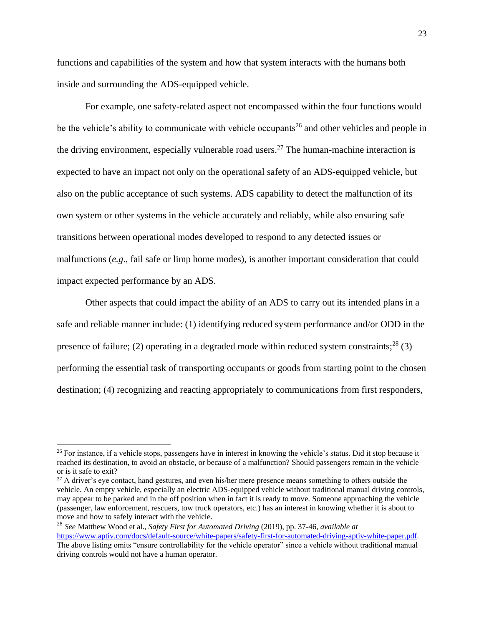functions and capabilities of the system and how that system interacts with the humans both inside and surrounding the ADS-equipped vehicle.

For example, one safety-related aspect not encompassed within the four functions would be the vehicle's ability to communicate with vehicle occupants<sup>26</sup> and other vehicles and people in the driving environment, especially vulnerable road users.<sup>27</sup> The human-machine interaction is expected to have an impact not only on the operational safety of an ADS-equipped vehicle, but also on the public acceptance of such systems. ADS capability to detect the malfunction of its own system or other systems in the vehicle accurately and reliably, while also ensuring safe transitions between operational modes developed to respond to any detected issues or malfunctions (*e.g*., fail safe or limp home modes), is another important consideration that could impact expected performance by an ADS.

Other aspects that could impact the ability of an ADS to carry out its intended plans in a safe and reliable manner include: (1) identifying reduced system performance and/or ODD in the presence of failure; (2) operating in a degraded mode within reduced system constraints;<sup>28</sup> (3) performing the essential task of transporting occupants or goods from starting point to the chosen destination; (4) recognizing and reacting appropriately to communications from first responders,

<sup>&</sup>lt;sup>26</sup> For instance, if a vehicle stops, passengers have in interest in knowing the vehicle's status. Did it stop because it reached its destination, to avoid an obstacle, or because of a malfunction? Should passengers remain in the vehicle or is it safe to exit?

<sup>&</sup>lt;sup>27</sup> A driver's eye contact, hand gestures, and even his/her mere presence means something to others outside the vehicle. An empty vehicle, especially an electric ADS-equipped vehicle without traditional manual driving controls, may appear to be parked and in the off position when in fact it is ready to move. Someone approaching the vehicle (passenger, law enforcement, rescuers, tow truck operators, etc.) has an interest in knowing whether it is about to move and how to safely interact with the vehicle.

<sup>28</sup> *See* Matthew Wood et al., *Safety First for Automated Driving* (2019), pp. 37-46, *available at* [https://www.aptiv.com/docs/default-source/white-papers/safety-first-for-automated-driving-aptiv-white-paper.pdf.](https://www.aptiv.com/docs/default-source/white-papers/safety-first-for-automated-driving-aptiv-white-paper.pdf) The above listing omits "ensure controllability for the vehicle operator" since a vehicle without traditional manual driving controls would not have a human operator.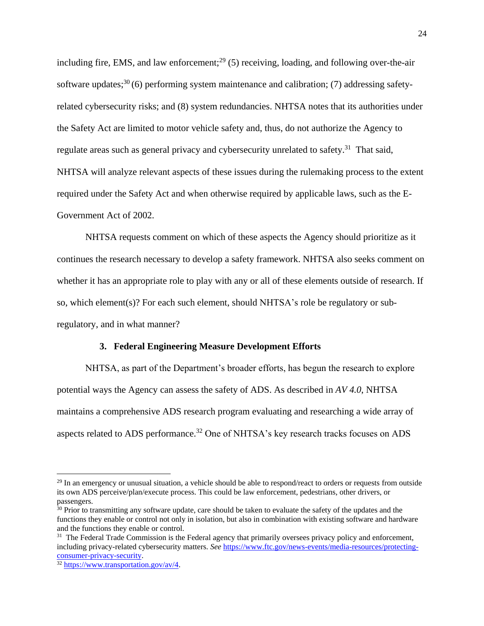including fire, EMS, and law enforcement;<sup>29</sup> (5) receiving, loading, and following over-the-air software updates;<sup>30</sup> (6) performing system maintenance and calibration; (7) addressing safetyrelated cybersecurity risks; and (8) system redundancies. NHTSA notes that its authorities under the Safety Act are limited to motor vehicle safety and, thus, do not authorize the Agency to regulate areas such as general privacy and cybersecurity unrelated to safety.<sup>31</sup> That said, NHTSA will analyze relevant aspects of these issues during the rulemaking process to the extent required under the Safety Act and when otherwise required by applicable laws, such as the E-Government Act of 2002.

NHTSA requests comment on which of these aspects the Agency should prioritize as it continues the research necessary to develop a safety framework. NHTSA also seeks comment on whether it has an appropriate role to play with any or all of these elements outside of research. If so, which element(s)? For each such element, should NHTSA's role be regulatory or subregulatory, and in what manner?

### **3. Federal Engineering Measure Development Efforts**

NHTSA, as part of the Department's broader efforts, has begun the research to explore potential ways the Agency can assess the safety of ADS. As described in *AV 4.0*, NHTSA maintains a comprehensive ADS research program evaluating and researching a wide array of aspects related to ADS performance.<sup>32</sup> One of NHTSA's key research tracks focuses on ADS

<sup>&</sup>lt;sup>29</sup> In an emergency or unusual situation, a vehicle should be able to respond/react to orders or requests from outside its own ADS perceive/plan/execute process. This could be law enforcement, pedestrians, other drivers, or passengers.

<sup>&</sup>lt;sup>30</sup> Prior to transmitting any software update, care should be taken to evaluate the safety of the updates and the functions they enable or control not only in isolation, but also in combination with existing software and hardware and the functions they enable or control.

<sup>&</sup>lt;sup>31</sup> The Federal Trade Commission is the Federal agency that primarily oversees privacy policy and enforcement, including privacy-related cybersecurity matters. *See* [https://www.ftc.gov/news-events/media-resources/protecting](https://www.ftc.gov/news-events/media-resources/protecting-consumer-privacy-security)[consumer-privacy-security.](https://www.ftc.gov/news-events/media-resources/protecting-consumer-privacy-security)

<sup>32</sup> [https://www.transportation.gov/av/4.](https://www.transportation.gov/av/4)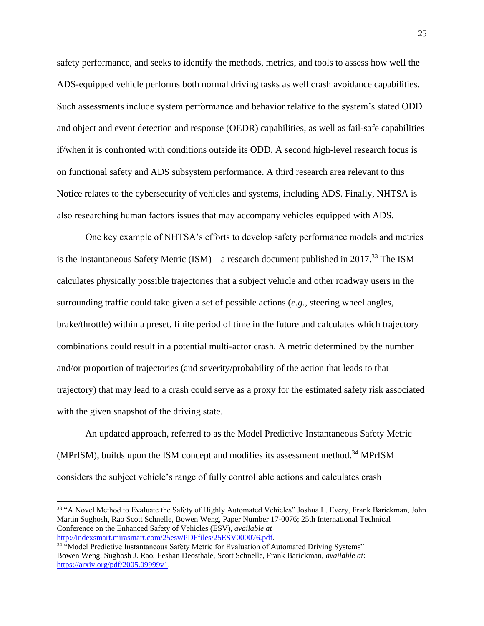safety performance, and seeks to identify the methods, metrics, and tools to assess how well the ADS-equipped vehicle performs both normal driving tasks as well crash avoidance capabilities. Such assessments include system performance and behavior relative to the system's stated ODD and object and event detection and response (OEDR) capabilities, as well as fail-safe capabilities if/when it is confronted with conditions outside its ODD. A second high-level research focus is on functional safety and ADS subsystem performance. A third research area relevant to this Notice relates to the cybersecurity of vehicles and systems, including ADS. Finally, NHTSA is also researching human factors issues that may accompany vehicles equipped with ADS.

One key example of NHTSA's efforts to develop safety performance models and metrics is the Instantaneous Safety Metric (ISM)—a research document published in  $2017<sup>33</sup>$  The ISM calculates physically possible trajectories that a subject vehicle and other roadway users in the surrounding traffic could take given a set of possible actions (*e.g.,* steering wheel angles, brake/throttle) within a preset, finite period of time in the future and calculates which trajectory combinations could result in a potential multi-actor crash. A metric determined by the number and/or proportion of trajectories (and severity/probability of the action that leads to that trajectory) that may lead to a crash could serve as a proxy for the estimated safety risk associated with the given snapshot of the driving state.

An updated approach, referred to as the Model Predictive Instantaneous Safety Metric (MPrISM), builds upon the ISM concept and modifies its assessment method.<sup>34</sup> MPrISM considers the subject vehicle's range of fully controllable actions and calculates crash

<sup>33</sup> "A Novel Method to Evaluate the Safety of Highly Automated Vehicles" Joshua L. Every, Frank Barickman, John Martin Sughosh, Rao Scott Schnelle, Bowen Weng, Paper Number 17-0076; 25th International Technical Conference on the Enhanced Safety of Vehicles (ESV), *available at* [http://indexsmart.mirasmart.com/25esv/PDFfiles/25ESV000076.pdf.](http://indexsmart.mirasmart.com/25esv/PDFfiles/25ESV000076.pdf)

<sup>&</sup>lt;sup>34</sup> "Model Predictive Instantaneous Safety Metric for Evaluation of Automated Driving Systems" Bowen Weng, Sughosh J. Rao, Eeshan Deosthale, Scott Schnelle, Frank Barickman, *available at*: [https://arxiv.org/pdf/2005.09999v1.](https://arxiv.org/pdf/2005.09999v1)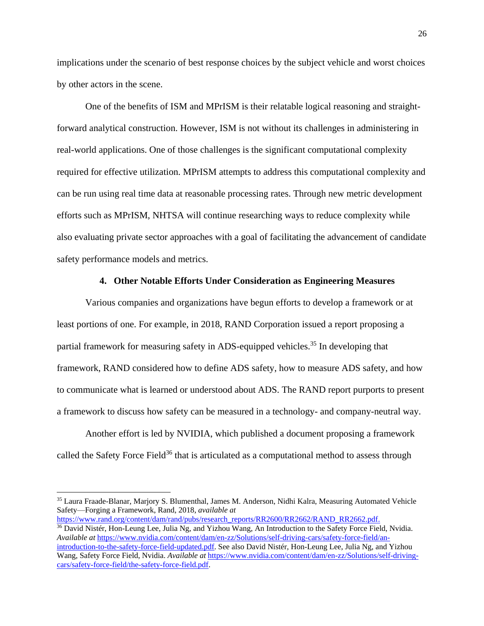implications under the scenario of best response choices by the subject vehicle and worst choices by other actors in the scene.

One of the benefits of ISM and MPrISM is their relatable logical reasoning and straightforward analytical construction. However, ISM is not without its challenges in administering in real-world applications. One of those challenges is the significant computational complexity required for effective utilization. MPrISM attempts to address this computational complexity and can be run using real time data at reasonable processing rates. Through new metric development efforts such as MPrISM, NHTSA will continue researching ways to reduce complexity while also evaluating private sector approaches with a goal of facilitating the advancement of candidate safety performance models and metrics.

### **4. Other Notable Efforts Under Consideration as Engineering Measures**

Various companies and organizations have begun efforts to develop a framework or at least portions of one. For example, in 2018, RAND Corporation issued a report proposing a partial framework for measuring safety in ADS-equipped vehicles.<sup>35</sup> In developing that framework, RAND considered how to define ADS safety, how to measure ADS safety, and how to communicate what is learned or understood about ADS. The RAND report purports to present a framework to discuss how safety can be measured in a technology- and company-neutral way.

Another effort is led by NVIDIA, which published a document proposing a framework called the Safety Force Field<sup>36</sup> that is articulated as a computational method to assess through

<sup>35</sup> Laura Fraade-Blanar, Marjory S. Blumenthal, James M. Anderson, Nidhi Kalra, Measuring Automated Vehicle Safety—Forging a Framework, Rand, 2018, *available at* 

[https://www.rand.org/content/dam/rand/pubs/research\\_reports/RR2600/RR2662/RAND\\_RR2662.pdf.](https://www.rand.org/content/dam/rand/pubs/research_reports/RR2600/RR2662/RAND_RR2662.pdf) 

<sup>&</sup>lt;sup>36</sup> David Nistér, Hon-Leung Lee, Julia Ng, and Yizhou Wang, An Introduction to the Safety Force Field, Nvidia. *Available at* [https://www.nvidia.com/content/dam/en-zz/Solutions/self-driving-cars/safety-force-field/an](https://www.nvidia.com/content/dam/en-zz/Solutions/self-driving-cars/safety-force-field/an-introduction-to-the-safety-force-field-updated.pdf)[introduction-to-the-safety-force-field-updated.pdf.](https://www.nvidia.com/content/dam/en-zz/Solutions/self-driving-cars/safety-force-field/an-introduction-to-the-safety-force-field-updated.pdf) See also David Nistér, Hon-Leung Lee, Julia Ng, and Yizhou Wang, Safety Force Field, Nvidia. *Available at* [https://www.nvidia.com/content/dam/en-zz/Solutions/self-driving](https://www.nvidia.com/content/dam/en-zz/Solutions/self-driving-cars/safety-force-field/the-safety-force-field.pdf)[cars/safety-force-field/the-safety-force-field.pdf.](https://www.nvidia.com/content/dam/en-zz/Solutions/self-driving-cars/safety-force-field/the-safety-force-field.pdf)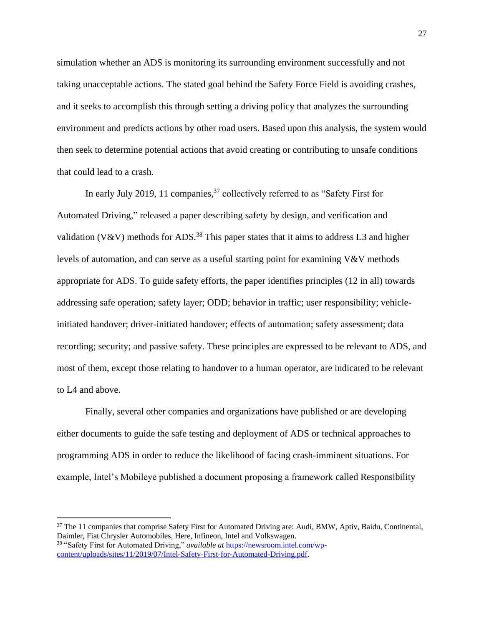simulation whether an ADS is monitoring its surrounding environment successfully and not taking unacceptable actions. The stated goal behind the Safety Force Field is avoiding crashes, and it seeks to accomplish this through setting a driving policy that analyzes the surrounding environment and predicts actions by other road users. Based upon this analysis, the system would then seek to determine potential actions that avoid creating or contributing to unsafe conditions that could lead to a crash.

In early July 2019, 11 companies,<sup>37</sup> collectively referred to as "Safety First for Automated Driving," released a paper describing safety by design, and verification and validation (V&V) methods for ADS.<sup>38</sup> This paper states that it aims to address L3 and higher levels of automation, and can serve as a useful starting point for examining V&V methods appropriate for ADS. To guide safety efforts, the paper identifies principles (12 in all) towards addressing safe operation; safety layer; ODD; behavior in traffic; user responsibility; vehicleinitiated handover; driver-initiated handover; effects of automation; safety assessment; data recording; security; and passive safety. These principles are expressed to be relevant to ADS, and most of them, except those relating to handover to a human operator, are indicated to be relevant to L4 and above.

Finally, several other companies and organizations have published or are developing either documents to guide the safe testing and deployment of ADS or technical approaches to programming ADS in order to reduce the likelihood of facing crash-imminent situations. For example, Intel's Mobileye published a document proposing a framework called Responsibility

 $\overline{a}$ 

<sup>&</sup>lt;sup>37</sup> The 11 companies that comprise Safety First for Automated Driving are: Audi, BMW, Aptiv, Baidu, Continental, Daimler, Fiat Chrysler Automobiles, Here, Infineon, Intel and Volkswagen. <sup>38</sup> "Safety First for Automated Driving," *available at* [https://newsroom.intel.com/wp](https://newsroom.intel.com/wp-content/uploads/sites/11/2019/07/Intel-Safety-First-for-Automated-Driving.pdf)[content/uploads/sites/11/2019/07/Intel-Safety-First-for-Automated-Driving.pdf.](https://newsroom.intel.com/wp-content/uploads/sites/11/2019/07/Intel-Safety-First-for-Automated-Driving.pdf)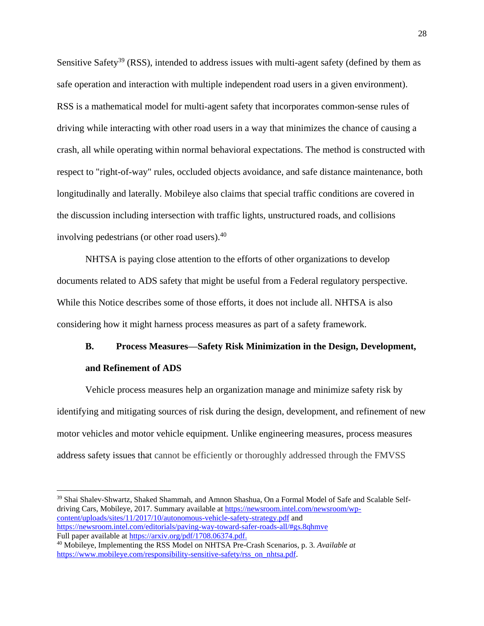Sensitive Safety<sup>39</sup> (RSS), intended to address issues with multi-agent safety (defined by them as safe operation and interaction with multiple independent road users in a given environment). RSS is a mathematical model for multi-agent safety that incorporates common-sense rules of driving while interacting with other road users in a way that minimizes the chance of causing a crash, all while operating within normal behavioral expectations. The method is constructed with respect to "right-of-way" rules, occluded objects avoidance, and safe distance maintenance, both longitudinally and laterally. Mobileye also claims that special traffic conditions are covered in the discussion including intersection with traffic lights, unstructured roads, and collisions involving pedestrians (or other road users).<sup>40</sup>

NHTSA is paying close attention to the efforts of other organizations to develop documents related to ADS safety that might be useful from a Federal regulatory perspective. While this Notice describes some of those efforts, it does not include all. NHTSA is also considering how it might harness process measures as part of a safety framework.

# **B. Process Measures—Safety Risk Minimization in the Design, Development, and Refinement of ADS**

Vehicle process measures help an organization manage and minimize safety risk by identifying and mitigating sources of risk during the design, development, and refinement of new motor vehicles and motor vehicle equipment. Unlike engineering measures, process measures address safety issues that cannot be efficiently or thoroughly addressed through the FMVSS

<sup>39</sup> Shai Shalev-Shwartz, Shaked Shammah, and Amnon Shashua, On a Formal Model of Safe and Scalable Selfdriving Cars, Mobileye, 2017. Summary available at [https://newsroom.intel.com/newsroom/wp](https://newsroom.intel.com/newsroom/wp-content/uploads/sites/11/2017/10/autonomous-vehicle-safety-strategy.pdf)[content/uploads/sites/11/2017/10/autonomous-vehicle-safety-strategy.pdf](https://newsroom.intel.com/newsroom/wp-content/uploads/sites/11/2017/10/autonomous-vehicle-safety-strategy.pdf) and <https://newsroom.intel.com/editorials/paving-way-toward-safer-roads-all/#gs.8qhmve> Full paper available a[t https://arxiv.org/pdf/1708.06374.pdf.](https://arxiv.org/pdf/1708.06374.pdf)

 $\overline{a}$ 

<sup>40</sup> Mobileye, Implementing the RSS Model on NHTSA Pre-Crash Scenarios, p. 3. *Available at* [https://www.mobileye.com/responsibility-sensitive-safety/rss\\_on\\_nhtsa.pdf.](https://www.mobileye.com/responsibility-sensitive-safety/rss_on_nhtsa.pdf)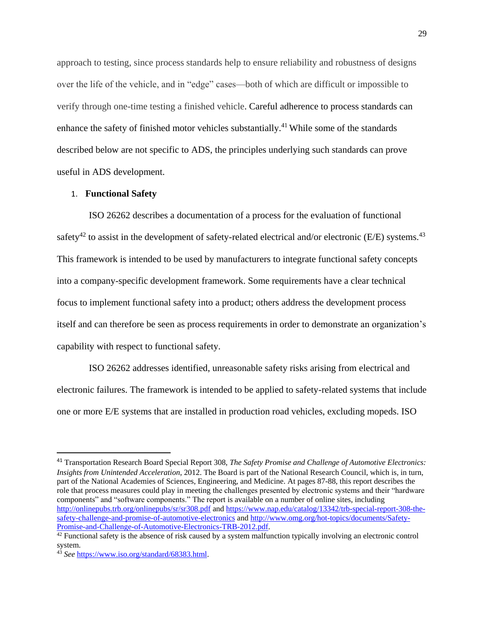approach to testing, since process standards help to ensure reliability and robustness of designs over the life of the vehicle, and in "edge" cases—both of which are difficult or impossible to verify through one-time testing a finished vehicle. Careful adherence to process standards can enhance the safety of finished motor vehicles substantially.<sup>41</sup> While some of the standards described below are not specific to ADS, the principles underlying such standards can prove useful in ADS development.

### 1. **Functional Safety**

ISO 26262 describes a documentation of a process for the evaluation of functional safety<sup>42</sup> to assist in the development of safety-related electrical and/or electronic (E/E) systems.<sup>43</sup> This framework is intended to be used by manufacturers to integrate functional safety concepts into a company-specific development framework. Some requirements have a clear technical focus to implement functional safety into a product; others address the development process itself and can therefore be seen as process requirements in order to demonstrate an organization's capability with respect to functional safety.

ISO 26262 addresses identified, unreasonable safety risks arising from electrical and electronic failures. The framework is intended to be applied to safety-related systems that include one or more E/E systems that are installed in production road vehicles, excluding mopeds. ISO

<sup>41</sup> Transportation Research Board Special Report 308, *The Safety Promise and Challenge of Automotive Electronics: Insights from Unintended Acceleration*, 2012. The Board is part of the National Research Council, which is, in turn, part of the National Academies of Sciences, Engineering, and Medicine. At pages 87-88, this report describes the role that process measures could play in meeting the challenges presented by electronic systems and their "hardware components" and "software components." The report is available on a number of online sites, including <http://onlinepubs.trb.org/onlinepubs/sr/sr308.pdf> and [https://www.nap.edu/catalog/13342/trb-special-report-308-the](https://www.nap.edu/catalog/13342/trb-special-report-308-the-safety-challenge-and-promise-of-automotive-electronics)[safety-challenge-and-promise-of-automotive-electronics](https://www.nap.edu/catalog/13342/trb-special-report-308-the-safety-challenge-and-promise-of-automotive-electronics) and [http://www.omg.org/hot-topics/documents/Safety-](http://www.omg.org/hot-topics/documents/Safety-Promise-and-Challenge-of-Automotive-Electronics-TRB-2012.pdf)[Promise-and-Challenge-of-Automotive-Electronics-TRB-2012.pdf.](http://www.omg.org/hot-topics/documents/Safety-Promise-and-Challenge-of-Automotive-Electronics-TRB-2012.pdf)

 $42$  Functional safety is the absence of risk caused by a system malfunction typically involving an electronic control system.

<sup>43</sup> *See* [https://www.iso.org/standard/68383.html.](https://www.iso.org/standard/68383.html)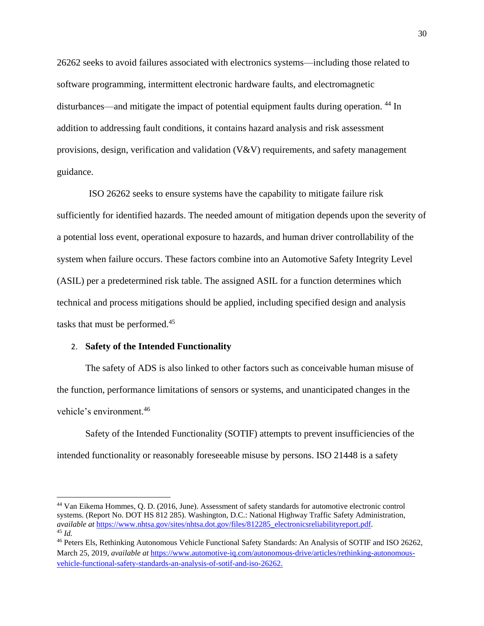26262 seeks to avoid failures associated with electronics systems—including those related to software programming, intermittent electronic hardware faults, and electromagnetic disturbances—and mitigate the impact of potential equipment faults during operation. <sup>44</sup> In addition to addressing fault conditions, it contains hazard analysis and risk assessment provisions, design, verification and validation (V&V) requirements, and safety management guidance.

ISO 26262 seeks to ensure systems have the capability to mitigate failure risk sufficiently for identified hazards. The needed amount of mitigation depends upon the severity of a potential loss event, operational exposure to hazards, and human driver controllability of the system when failure occurs. These factors combine into an Automotive Safety Integrity Level (ASIL) per a predetermined risk table. The assigned ASIL for a function determines which technical and process mitigations should be applied, including specified design and analysis tasks that must be performed.<sup>45</sup>

### 2. **Safety of the Intended Functionality**

 $\overline{a}$ 

The safety of ADS is also linked to other factors such as conceivable human misuse of the function, performance limitations of sensors or systems, and unanticipated changes in the vehicle's environment.<sup>46</sup>

Safety of the Intended Functionality (SOTIF) attempts to prevent insufficiencies of the intended functionality or reasonably foreseeable misuse by persons. ISO 21448 is a safety

<sup>44</sup> Van Eikema Hommes, Q. D. (2016, June). Assessment of safety standards for automotive electronic control systems. (Report No. DOT HS 812 285). Washington, D.C.: National Highway Traffic Safety Administration, *available at* [https://www.nhtsa.gov/sites/nhtsa.dot.gov/files/812285\\_electronicsreliabilityreport.pdf.](https://www.nhtsa.gov/sites/nhtsa.dot.gov/files/812285_electronicsreliabilityreport.pdf)  <sup>45</sup> *Id.*

<sup>46</sup> Peters Els, Rethinking Autonomous Vehicle Functional Safety Standards: An Analysis of SOTIF and ISO 26262, March 25, 2019, *available at* [https://www.automotive-iq.com/autonomous-drive/articles/rethinking-autonomous](https://www.automotive-iq.com/autonomous-drive/articles/rethinking-autonomous-vehicle-functional-safety-standards-an-analysis-of-sotif-and-iso-26262)[vehicle-functional-safety-standards-an-analysis-of-sotif-and-iso-26262.](https://www.automotive-iq.com/autonomous-drive/articles/rethinking-autonomous-vehicle-functional-safety-standards-an-analysis-of-sotif-and-iso-26262)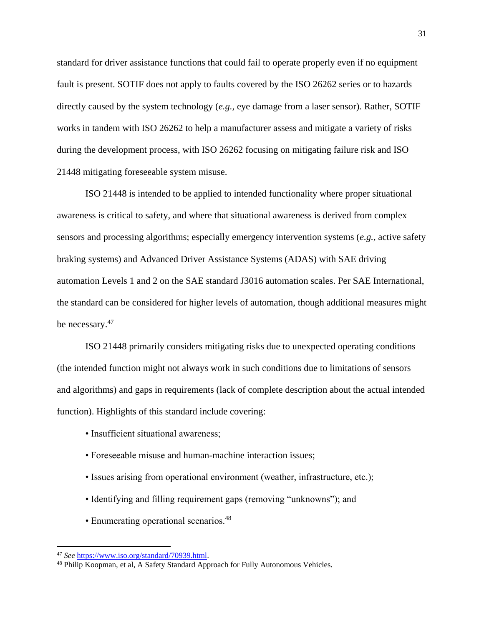standard for driver assistance functions that could fail to operate properly even if no equipment fault is present. SOTIF does not apply to faults covered by the ISO 26262 series or to hazards directly caused by the system technology (*e.g.,* eye damage from a laser sensor). Rather, SOTIF works in tandem with ISO 26262 to help a manufacturer assess and mitigate a variety of risks during the development process, with ISO 26262 focusing on mitigating failure risk and ISO 21448 mitigating foreseeable system misuse.

ISO 21448 is intended to be applied to intended functionality where proper situational awareness is critical to safety, and where that situational awareness is derived from complex sensors and processing algorithms; especially emergency intervention systems (*e.g.,* active safety braking systems) and Advanced Driver Assistance Systems (ADAS) with SAE driving automation Levels 1 and 2 on the SAE standard J3016 automation scales. Per SAE International, the standard can be considered for higher levels of automation, though additional measures might be necessary.<sup>47</sup>

ISO 21448 primarily considers mitigating risks due to unexpected operating conditions (the intended function might not always work in such conditions due to limitations of sensors and algorithms) and gaps in requirements (lack of complete description about the actual intended function). Highlights of this standard include covering:

- Insufficient situational awareness;
- Foreseeable misuse and human-machine interaction issues;
- Issues arising from operational environment (weather, infrastructure, etc.);
- Identifying and filling requirement gaps (removing "unknowns"); and
- Enumerating operational scenarios.<sup>48</sup>

<sup>47</sup> *See* [https://www.iso.org/standard/70939.html.](https://www.iso.org/standard/70939.html)

<sup>&</sup>lt;sup>48</sup> Philip Koopman, et al, A Safety Standard Approach for Fully Autonomous Vehicles.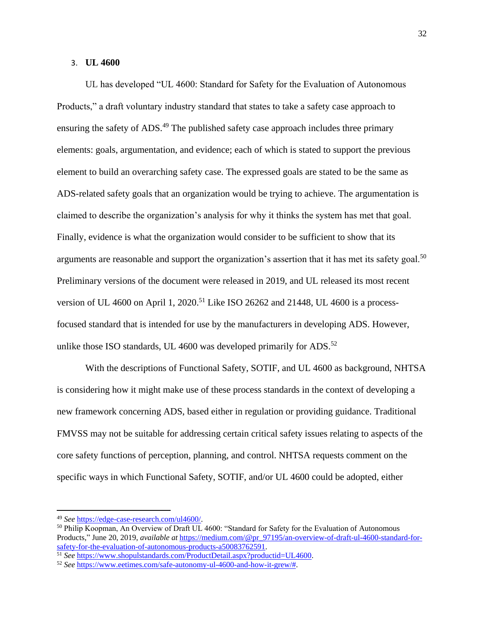### 3. **UL 4600**

UL has developed "UL 4600: Standard for Safety for the Evaluation of Autonomous Products," a draft voluntary industry standard that states to take a safety case approach to ensuring the safety of ADS.<sup>49</sup> The published safety case approach includes three primary elements: goals, argumentation, and evidence; each of which is stated to support the previous element to build an overarching safety case. The expressed goals are stated to be the same as ADS-related safety goals that an organization would be trying to achieve. The argumentation is claimed to describe the organization's analysis for why it thinks the system has met that goal. Finally, evidence is what the organization would consider to be sufficient to show that its arguments are reasonable and support the organization's assertion that it has met its safety goal.<sup>50</sup> Preliminary versions of the document were released in 2019, and UL released its most recent version of UL 4600 on April 1, 2020.<sup>51</sup> Like ISO 26262 and 21448, UL 4600 is a processfocused standard that is intended for use by the manufacturers in developing ADS. However, unlike those ISO standards, UL 4600 was developed primarily for ADS. $52$ 

With the descriptions of Functional Safety, SOTIF, and UL 4600 as background, NHTSA is considering how it might make use of these process standards in the context of developing a new framework concerning ADS, based either in regulation or providing guidance. Traditional FMVSS may not be suitable for addressing certain critical safety issues relating to aspects of the core safety functions of perception, planning, and control. NHTSA requests comment on the specific ways in which Functional Safety, SOTIF, and/or UL 4600 could be adopted, either

<sup>49</sup> *See* [https://edge-case-research.com/ul4600/.](https://edge-case-research.com/ul4600/) 

<sup>&</sup>lt;sup>50</sup> Philip Koopman, An Overview of Draft UL 4600: "Standard for Safety for the Evaluation of Autonomous Products," June 20, 2019, *available at* [https://medium.com/@pr\\_97195/an-overview-of-draft-ul-4600-standard-for](https://medium.com/@pr_97195/an-overview-of-draft-ul-4600-standard-for-safety-for-the-evaluation-of-autonomous-products-a50083762591)[safety-for-the-evaluation-of-autonomous-products-a50083762591.](https://medium.com/@pr_97195/an-overview-of-draft-ul-4600-standard-for-safety-for-the-evaluation-of-autonomous-products-a50083762591)

<sup>51</sup> *See* [https://www.shopulstandards.com/ProductDetail.aspx?productid=UL4600.](https://www.shopulstandards.com/ProductDetail.aspx?productid=UL4600) 

<sup>52</sup> *See* [https://www.eetimes.com/safe-autonomy-ul-4600-and-how-it-grew/#.](https://www.eetimes.com/safe-autonomy-ul-4600-and-how-it-grew/)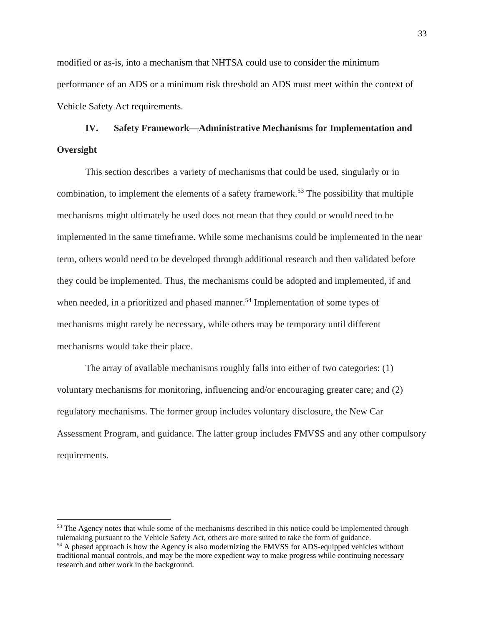modified or as-is, into a mechanism that NHTSA could use to consider the minimum performance of an ADS or a minimum risk threshold an ADS must meet within the context of Vehicle Safety Act requirements.

# **IV. Safety Framework—Administrative Mechanisms for Implementation and Oversight**

This section describes a variety of mechanisms that could be used, singularly or in combination, to implement the elements of a safety framework.<sup>53</sup> The possibility that multiple mechanisms might ultimately be used does not mean that they could or would need to be implemented in the same timeframe. While some mechanisms could be implemented in the near term, others would need to be developed through additional research and then validated before they could be implemented. Thus, the mechanisms could be adopted and implemented, if and when needed, in a prioritized and phased manner.<sup>54</sup> Implementation of some types of mechanisms might rarely be necessary, while others may be temporary until different mechanisms would take their place.

The array of available mechanisms roughly falls into either of two categories: (1) voluntary mechanisms for monitoring, influencing and/or encouraging greater care; and (2) regulatory mechanisms. The former group includes voluntary disclosure, the New Car Assessment Program, and guidance. The latter group includes FMVSS and any other compulsory requirements.

<sup>&</sup>lt;sup>53</sup> The Agency notes that while some of the mechanisms described in this notice could be implemented through rulemaking pursuant to the Vehicle Safety Act, others are more suited to take the form of guidance.

<sup>&</sup>lt;sup>54</sup> A phased approach is how the Agency is also modernizing the FMVSS for ADS-equipped vehicles without traditional manual controls, and may be the more expedient way to make progress while continuing necessary research and other work in the background.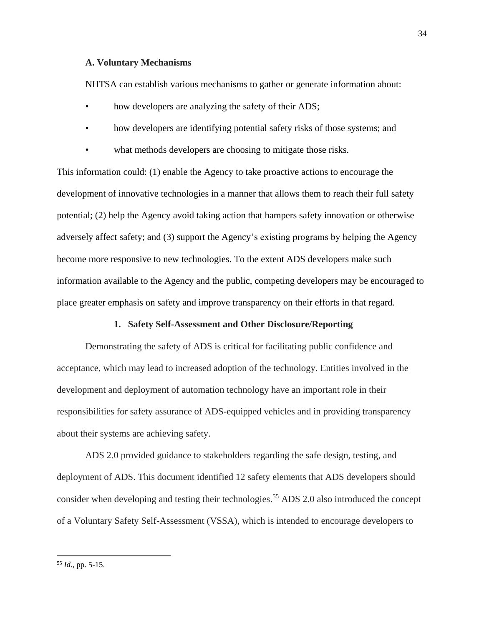### **A. Voluntary Mechanisms**

NHTSA can establish various mechanisms to gather or generate information about:

- how developers are analyzing the safety of their ADS;
- how developers are identifying potential safety risks of those systems; and
- what methods developers are choosing to mitigate those risks.

This information could: (1) enable the Agency to take proactive actions to encourage the development of innovative technologies in a manner that allows them to reach their full safety potential; (2) help the Agency avoid taking action that hampers safety innovation or otherwise adversely affect safety; and (3) support the Agency's existing programs by helping the Agency become more responsive to new technologies. To the extent ADS developers make such information available to the Agency and the public, competing developers may be encouraged to place greater emphasis on safety and improve transparency on their efforts in that regard.

### **1. Safety Self-Assessment and Other Disclosure/Reporting**

Demonstrating the safety of ADS is critical for facilitating public confidence and acceptance, which may lead to increased adoption of the technology. Entities involved in the development and deployment of automation technology have an important role in their responsibilities for safety assurance of ADS-equipped vehicles and in providing transparency about their systems are achieving safety.

ADS 2.0 provided guidance to stakeholders regarding the safe design, testing, and deployment of ADS. This document identified 12 safety elements that ADS developers should consider when developing and testing their technologies.<sup>55</sup> ADS 2.0 also introduced the concept of a Voluntary Safety Self-Assessment (VSSA), which is intended to encourage developers to

<sup>55</sup> *Id*., pp. 5-15.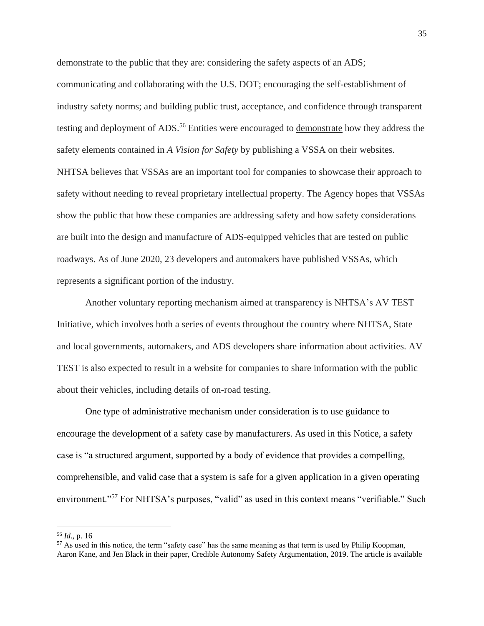demonstrate to the public that they are: considering the safety aspects of an ADS; communicating and collaborating with the U.S. DOT; encouraging the self-establishment of industry safety norms; and building public trust, acceptance, and confidence through transparent testing and deployment of ADS.<sup>56</sup> Entities were encouraged to demonstrate how they address the safety elements contained in *A Vision for Safety* by publishing a VSSA on their websites. NHTSA believes that VSSAs are an important tool for companies to showcase their approach to safety without needing to reveal proprietary intellectual property. The Agency hopes that VSSAs show the public that how these companies are addressing safety and how safety considerations are built into the design and manufacture of ADS-equipped vehicles that are tested on public roadways. As of June 2020, 23 developers and automakers have published VSSAs, which represents a significant portion of the industry.

Another voluntary reporting mechanism aimed at transparency is NHTSA's AV TEST Initiative, which involves both a series of events throughout the country where NHTSA, State and local governments, automakers, and ADS developers share information about activities. AV TEST is also expected to result in a website for companies to share information with the public about their vehicles, including details of on-road testing.

One type of administrative mechanism under consideration is to use guidance to encourage the development of a safety case by manufacturers. As used in this Notice, a safety case is "a structured argument, supported by a body of evidence that provides a compelling, comprehensible, and valid case that a system is safe for a given application in a given operating environment."<sup>57</sup> For NHTSA's purposes, "valid" as used in this context means "verifiable." Such

<sup>56</sup> *Id*., p. 16

<sup>57</sup> As used in this notice, the term "safety case" has the same meaning as that term is used by Philip Koopman, Aaron Kane, and Jen Black in their paper, Credible Autonomy Safety Argumentation, 2019. The article is available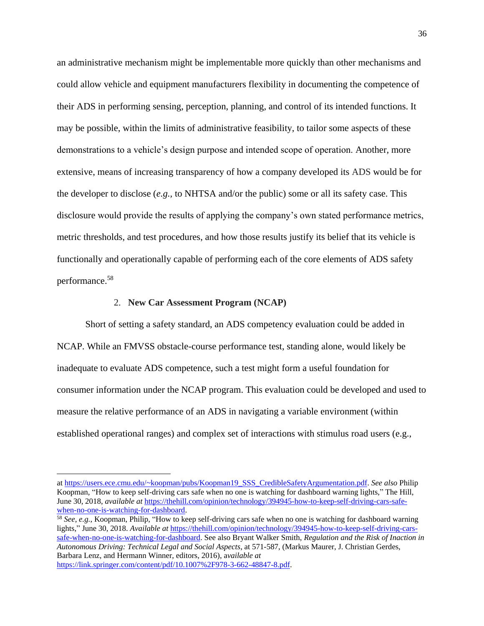an administrative mechanism might be implementable more quickly than other mechanisms and could allow vehicle and equipment manufacturers flexibility in documenting the competence of their ADS in performing sensing, perception, planning, and control of its intended functions. It may be possible, within the limits of administrative feasibility, to tailor some aspects of these demonstrations to a vehicle's design purpose and intended scope of operation. Another, more extensive, means of increasing transparency of how a company developed its ADS would be for the developer to disclose (*e.g.,* to NHTSA and/or the public) some or all its safety case. This disclosure would provide the results of applying the company's own stated performance metrics, metric thresholds, and test procedures, and how those results justify its belief that its vehicle is functionally and operationally capable of performing each of the core elements of ADS safety performance.<sup>58</sup>

#### 2. **New Car Assessment Program (NCAP)**

 $\overline{\phantom{a}}$ 

Short of setting a safety standard, an ADS competency evaluation could be added in NCAP. While an FMVSS obstacle-course performance test, standing alone, would likely be inadequate to evaluate ADS competence, such a test might form a useful foundation for consumer information under the NCAP program. This evaluation could be developed and used to measure the relative performance of an ADS in navigating a variable environment (within established operational ranges) and complex set of interactions with stimulus road users (e.g.,

at [https://users.ece.cmu.edu/~koopman/pubs/Koopman19\\_SSS\\_CredibleSafetyArgumentation.pdf.](https://users.ece.cmu.edu/~koopman/pubs/Koopman19_SSS_CredibleSafetyArgumentation.pdf) *See also* Philip Koopman, "How to keep self-driving cars safe when no one is watching for dashboard warning lights," The Hill, June 30, 2018, *available at* [https://thehill.com/opinion/technology/394945-how-to-keep-self-driving-cars-safe](https://thehill.com/opinion/technology/394945-how-to-keep-self-driving-cars-safe-when-no-one-is-watching-for-dashboard)[when-no-one-is-watching-for-dashboard.](https://thehill.com/opinion/technology/394945-how-to-keep-self-driving-cars-safe-when-no-one-is-watching-for-dashboard)

<sup>58</sup> *See*, *e.g.*, Koopman, Philip, "How to keep self-driving cars safe when no one is watching for dashboard warning lights," June 30, 2018. *Available at* [https://thehill.com/opinion/technology/394945-how-to-keep-self-driving-cars](https://thehill.com/opinion/technology/394945-how-to-keep-self-driving-cars-safe-when-no-one-is-watching-for-dashboard)[safe-when-no-one-is-watching-for-dashboard.](https://thehill.com/opinion/technology/394945-how-to-keep-self-driving-cars-safe-when-no-one-is-watching-for-dashboard) See also Bryant Walker Smith, *Regulation and the Risk of Inaction in Autonomous Driving: Technical Legal and Social Aspects*, at 571-587, (Markus Maurer, J. Christian Gerdes, Barbara Lenz, and Hermann Winner, editors, 2016), a*vailable at*  [https://link.springer.com/content/pdf/10.1007%2F978-3-662-48847-8.pdf.](https://link.springer.com/content/pdf/10.1007%2F978-3-662-48847-8.pdf)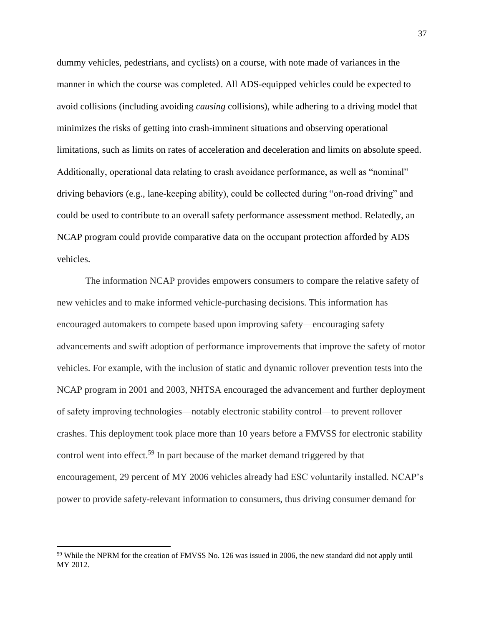dummy vehicles, pedestrians, and cyclists) on a course, with note made of variances in the manner in which the course was completed. All ADS-equipped vehicles could be expected to avoid collisions (including avoiding *causing* collisions), while adhering to a driving model that minimizes the risks of getting into crash-imminent situations and observing operational limitations, such as limits on rates of acceleration and deceleration and limits on absolute speed. Additionally, operational data relating to crash avoidance performance, as well as "nominal" driving behaviors (e.g., lane-keeping ability), could be collected during "on-road driving" and could be used to contribute to an overall safety performance assessment method. Relatedly, an NCAP program could provide comparative data on the occupant protection afforded by ADS vehicles.

The information NCAP provides empowers consumers to compare the relative safety of new vehicles and to make informed vehicle-purchasing decisions. This information has encouraged automakers to compete based upon improving safety—encouraging safety advancements and swift adoption of performance improvements that improve the safety of motor vehicles. For example, with the inclusion of static and dynamic rollover prevention tests into the NCAP program in 2001 and 2003, NHTSA encouraged the advancement and further deployment of safety improving technologies—notably electronic stability control—to prevent rollover crashes. This deployment took place more than 10 years before a FMVSS for electronic stability control went into effect.<sup>59</sup> In part because of the market demand triggered by that encouragement, 29 percent of MY 2006 vehicles already had ESC voluntarily installed. NCAP's power to provide safety-relevant information to consumers, thus driving consumer demand for

<sup>&</sup>lt;sup>59</sup> While the NPRM for the creation of FMVSS No. 126 was issued in 2006, the new standard did not apply until MY 2012.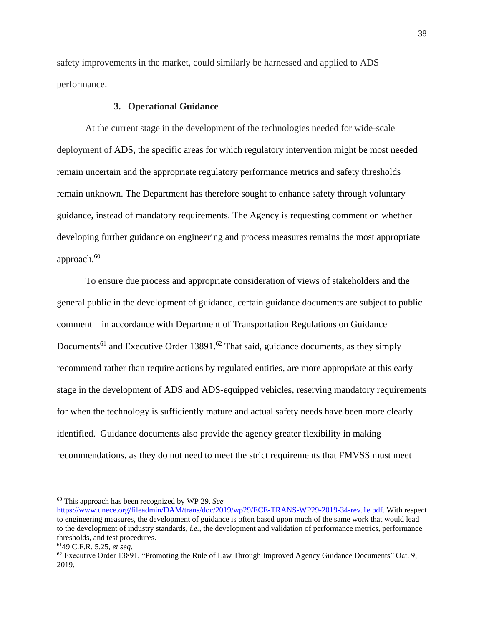safety improvements in the market, could similarly be harnessed and applied to ADS performance.

### **3. Operational Guidance**

At the current stage in the development of the technologies needed for wide-scale deployment of ADS, the specific areas for which regulatory intervention might be most needed remain uncertain and the appropriate regulatory performance metrics and safety thresholds remain unknown. The Department has therefore sought to enhance safety through voluntary guidance, instead of mandatory requirements. The Agency is requesting comment on whether developing further guidance on engineering and process measures remains the most appropriate approach.<sup>60</sup>

To ensure due process and appropriate consideration of views of stakeholders and the general public in the development of guidance, certain guidance documents are subject to public comment—in accordance with Department of Transportation Regulations on Guidance Documents<sup>61</sup> and Executive Order 13891.<sup>62</sup> That said, guidance documents, as they simply recommend rather than require actions by regulated entities, are more appropriate at this early stage in the development of ADS and ADS-equipped vehicles, reserving mandatory requirements for when the technology is sufficiently mature and actual safety needs have been more clearly identified. Guidance documents also provide the agency greater flexibility in making recommendations, as they do not need to meet the strict requirements that FMVSS must meet

<sup>60</sup> This approach has been recognized by WP 29. *See*

[https://www.unece.org/fileadmin/DAM/trans/doc/2019/wp29/ECE-TRANS-WP29-2019-34-rev.1e.pdf.](https://www.unece.org/fileadmin/DAM/trans/doc/2019/wp29/ECE-TRANS-WP29-2019-34-rev.1e.pdf) With respect to engineering measures, the development of guidance is often based upon much of the same work that would lead to the development of industry standards, *i.e.,* the development and validation of performance metrics, performance thresholds, and test procedures.

<sup>61</sup>49 C.F.R. 5.25, *et seq*.

<sup>&</sup>lt;sup>62</sup> Executive Order 13891, "Promoting the Rule of Law Through Improved Agency Guidance Documents" Oct. 9, 2019.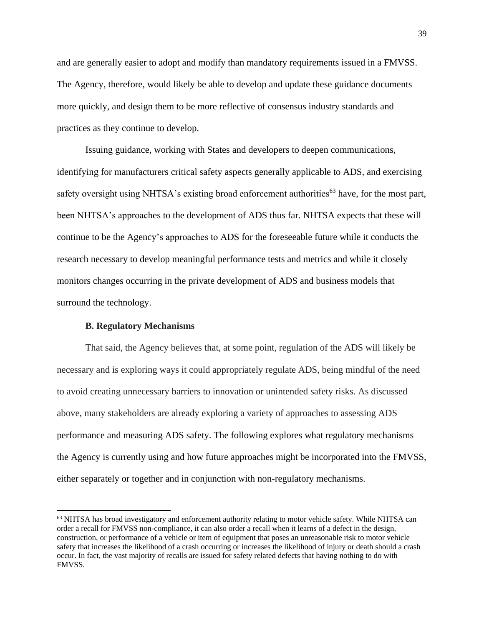and are generally easier to adopt and modify than mandatory requirements issued in a FMVSS. The Agency, therefore, would likely be able to develop and update these guidance documents more quickly, and design them to be more reflective of consensus industry standards and practices as they continue to develop.

Issuing guidance, working with States and developers to deepen communications, identifying for manufacturers critical safety aspects generally applicable to ADS, and exercising safety oversight using NHTSA's existing broad enforcement authorities<sup>63</sup> have, for the most part, been NHTSA's approaches to the development of ADS thus far. NHTSA expects that these will continue to be the Agency's approaches to ADS for the foreseeable future while it conducts the research necessary to develop meaningful performance tests and metrics and while it closely monitors changes occurring in the private development of ADS and business models that surround the technology.

## **B. Regulatory Mechanisms**

 $\overline{\phantom{a}}$ 

That said, the Agency believes that, at some point, regulation of the ADS will likely be necessary and is exploring ways it could appropriately regulate ADS, being mindful of the need to avoid creating unnecessary barriers to innovation or unintended safety risks. As discussed above, many stakeholders are already exploring a variety of approaches to assessing ADS performance and measuring ADS safety. The following explores what regulatory mechanisms the Agency is currently using and how future approaches might be incorporated into the FMVSS, either separately or together and in conjunction with non-regulatory mechanisms.

<sup>63</sup> NHTSA has broad investigatory and enforcement authority relating to motor vehicle safety. While NHTSA can order a recall for FMVSS non-compliance, it can also order a recall when it learns of a defect in the design, construction, or performance of a vehicle or item of equipment that poses an unreasonable risk to motor vehicle safety that increases the likelihood of a crash occurring or increases the likelihood of injury or death should a crash occur. In fact, the vast majority of recalls are issued for safety related defects that having nothing to do with FMVSS.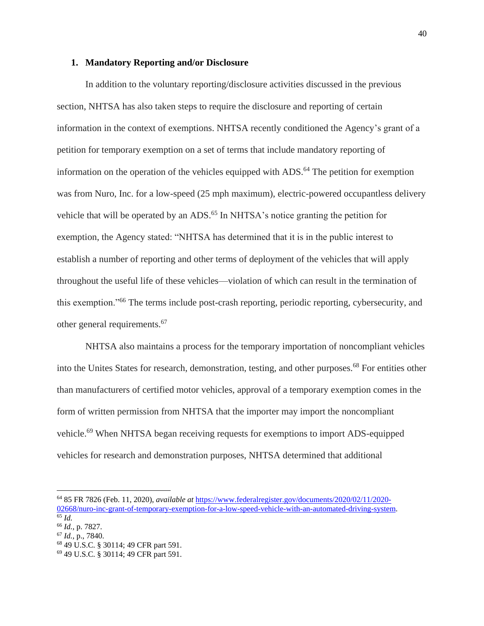### **1. Mandatory Reporting and/or Disclosure**

In addition to the voluntary reporting/disclosure activities discussed in the previous section, NHTSA has also taken steps to require the disclosure and reporting of certain information in the context of exemptions. NHTSA recently conditioned the Agency's grant of a petition for temporary exemption on a set of terms that include mandatory reporting of information on the operation of the vehicles equipped with  $ADS<sup>64</sup>$ . The petition for exemption was from Nuro, Inc. for a low-speed (25 mph maximum), electric-powered occupantless delivery vehicle that will be operated by an ADS.<sup>65</sup> In NHTSA's notice granting the petition for exemption, the Agency stated: "NHTSA has determined that it is in the public interest to establish a number of reporting and other terms of deployment of the vehicles that will apply throughout the useful life of these vehicles—violation of which can result in the termination of this exemption."<sup>66</sup> The terms include post-crash reporting, periodic reporting, cybersecurity, and other general requirements.<sup>67</sup>

NHTSA also maintains a process for the temporary importation of noncompliant vehicles into the Unites States for research, demonstration, testing, and other purposes.<sup>68</sup> For entities other than manufacturers of certified motor vehicles, approval of a temporary exemption comes in the form of written permission from NHTSA that the importer may import the noncompliant vehicle.<sup>69</sup> When NHTSA began receiving requests for exemptions to import ADS-equipped vehicles for research and demonstration purposes, NHTSA determined that additional

 $\overline{a}$ 

<sup>64</sup> 85 FR 7826 (Feb. 11, 2020), *available at* [https://www.federalregister.gov/documents/2020/02/11/2020-](https://www.federalregister.gov/documents/2020/02/11/2020-02668/nuro-inc-grant-of-temporary-exemption-for-a-low-speed-vehicle-with-an-automated-driving-system) [02668/nuro-inc-grant-of-temporary-exemption-for-a-low-speed-vehicle-with-an-automated-driving-system.](https://www.federalregister.gov/documents/2020/02/11/2020-02668/nuro-inc-grant-of-temporary-exemption-for-a-low-speed-vehicle-with-an-automated-driving-system) <sup>65</sup> *Id.*

<sup>66</sup> *Id.,* p. 7827.

<sup>67</sup> *Id.,* p., 7840.

<sup>68</sup> 49 U.S.C. § 30114; 49 CFR part 591.

<sup>69</sup> 49 U.S.C. § 30114; 49 CFR part 591.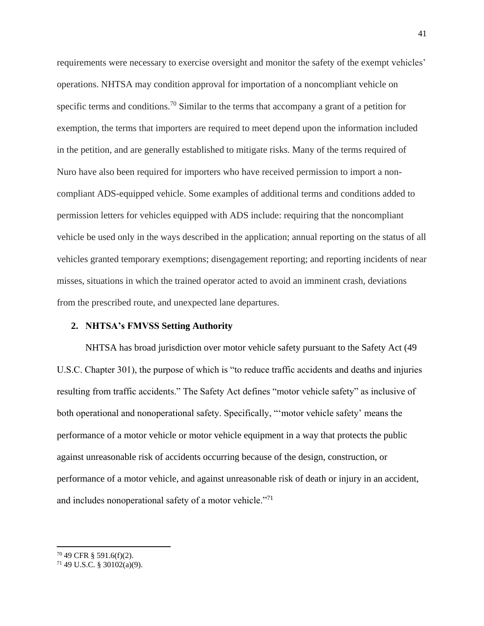requirements were necessary to exercise oversight and monitor the safety of the exempt vehicles' operations. NHTSA may condition approval for importation of a noncompliant vehicle on specific terms and conditions.<sup>70</sup> Similar to the terms that accompany a grant of a petition for exemption, the terms that importers are required to meet depend upon the information included in the petition, and are generally established to mitigate risks. Many of the terms required of Nuro have also been required for importers who have received permission to import a noncompliant ADS-equipped vehicle. Some examples of additional terms and conditions added to permission letters for vehicles equipped with ADS include: requiring that the noncompliant vehicle be used only in the ways described in the application; annual reporting on the status of all vehicles granted temporary exemptions; disengagement reporting; and reporting incidents of near misses, situations in which the trained operator acted to avoid an imminent crash, deviations from the prescribed route, and unexpected lane departures.

### **2. NHTSA's FMVSS Setting Authority**

NHTSA has broad jurisdiction over motor vehicle safety pursuant to the Safety Act (49 U.S.C. Chapter 301), the purpose of which is "to reduce traffic accidents and deaths and injuries resulting from traffic accidents." The Safety Act defines "motor vehicle safety" as inclusive of both operational and nonoperational safety. Specifically, "'motor vehicle safety' means the performance of a motor vehicle or motor vehicle equipment in a way that protects the public against unreasonable risk of accidents occurring because of the design, construction, or performance of a motor vehicle, and against unreasonable risk of death or injury in an accident, and includes nonoperational safety of a motor vehicle."<sup>71</sup>

 $70$  49 CFR § 591.6(f)(2).

 $71$  49 U.S.C. § 30102(a)(9).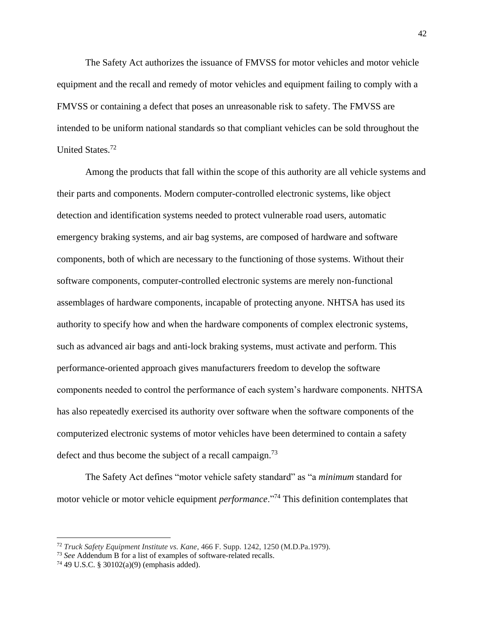The Safety Act authorizes the issuance of FMVSS for motor vehicles and motor vehicle equipment and the recall and remedy of motor vehicles and equipment failing to comply with a FMVSS or containing a defect that poses an unreasonable risk to safety. The FMVSS are intended to be uniform national standards so that compliant vehicles can be sold throughout the United States.<sup>72</sup>

Among the products that fall within the scope of this authority are all vehicle systems and their parts and components. Modern computer-controlled electronic systems, like object detection and identification systems needed to protect vulnerable road users, automatic emergency braking systems, and air bag systems, are composed of hardware and software components, both of which are necessary to the functioning of those systems. Without their software components, computer-controlled electronic systems are merely non-functional assemblages of hardware components, incapable of protecting anyone. NHTSA has used its authority to specify how and when the hardware components of complex electronic systems, such as advanced air bags and anti-lock braking systems, must activate and perform. This performance-oriented approach gives manufacturers freedom to develop the software components needed to control the performance of each system's hardware components. NHTSA has also repeatedly exercised its authority over software when the software components of the computerized electronic systems of motor vehicles have been determined to contain a safety defect and thus become the subject of a recall campaign.<sup>73</sup>

The Safety Act defines "motor vehicle safety standard" as "a *minimum* standard for motor vehicle or motor vehicle equipment *performance*."<sup>74</sup> This definition contemplates that

<sup>72</sup> *Truck Safety Equipment Institute vs. Kane*, 466 F. Supp. 1242, 1250 (M.D.Pa.1979).

<sup>73</sup> *See* Addendum B for a list of examples of software-related recalls.

<sup>74</sup> 49 U.S.C. § 30102(a)(9) (emphasis added).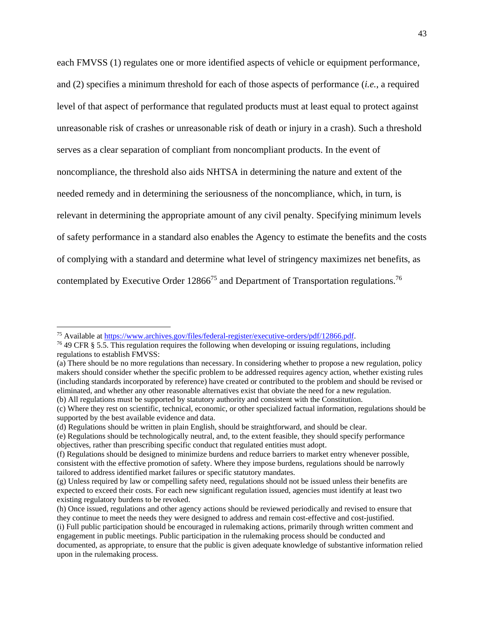each FMVSS (1) regulates one or more identified aspects of vehicle or equipment performance, and (2) specifies a minimum threshold for each of those aspects of performance (*i.e.*, a required level of that aspect of performance that regulated products must at least equal to protect against unreasonable risk of crashes or unreasonable risk of death or injury in a crash). Such a threshold serves as a clear separation of compliant from noncompliant products. In the event of noncompliance, the threshold also aids NHTSA in determining the nature and extent of the needed remedy and in determining the seriousness of the noncompliance, which, in turn, is relevant in determining the appropriate amount of any civil penalty. Specifying minimum levels of safety performance in a standard also enables the Agency to estimate the benefits and the costs of complying with a standard and determine what level of stringency maximizes net benefits, as contemplated by Executive Order 12866<sup>75</sup> and Department of Transportation regulations.<sup>76</sup>

 $\overline{a}$ 

<sup>&</sup>lt;sup>75</sup> Available at [https://www.archives.gov/files/federal-register/executive-orders/pdf/12866.pdf.](https://www.archives.gov/files/federal-register/executive-orders/pdf/12866.pdf)

<sup>76</sup> 49 CFR § 5.5. This regulation requires the following when developing or issuing regulations, including regulations to establish FMVSS:

<sup>(</sup>a) There should be no more regulations than necessary. In considering whether to propose a new regulation, policy makers should consider whether the specific problem to be addressed requires agency action, whether existing rules (including standards incorporated by reference) have created or contributed to the problem and should be revised or eliminated, and whether any other reasonable alternatives exist that obviate the need for a new regulation. (b) All regulations must be supported by statutory authority and consistent with the Constitution.

<sup>(</sup>c) Where they rest on scientific, technical, economic, or other specialized factual information, regulations should be supported by the best available evidence and data.

<sup>(</sup>d) Regulations should be written in plain English, should be straightforward, and should be clear.

<sup>(</sup>e) Regulations should be technologically neutral, and, to the extent feasible, they should specify performance objectives, rather than prescribing specific conduct that regulated entities must adopt.

<sup>(</sup>f) Regulations should be designed to minimize burdens and reduce barriers to market entry whenever possible, consistent with the effective promotion of safety. Where they impose burdens, regulations should be narrowly tailored to address identified market failures or specific statutory mandates.

<sup>(</sup>g) Unless required by law or compelling safety need, regulations should not be issued unless their benefits are expected to exceed their costs. For each new significant regulation issued, agencies must identify at least two existing regulatory burdens to be revoked.

<sup>(</sup>h) Once issued, regulations and other agency actions should be reviewed periodically and revised to ensure that they continue to meet the needs they were designed to address and remain cost-effective and cost-justified. (i) Full public participation should be encouraged in rulemaking actions, primarily through written comment and engagement in public meetings. Public participation in the rulemaking process should be conducted and documented, as appropriate, to ensure that the public is given adequate knowledge of substantive information relied upon in the rulemaking process.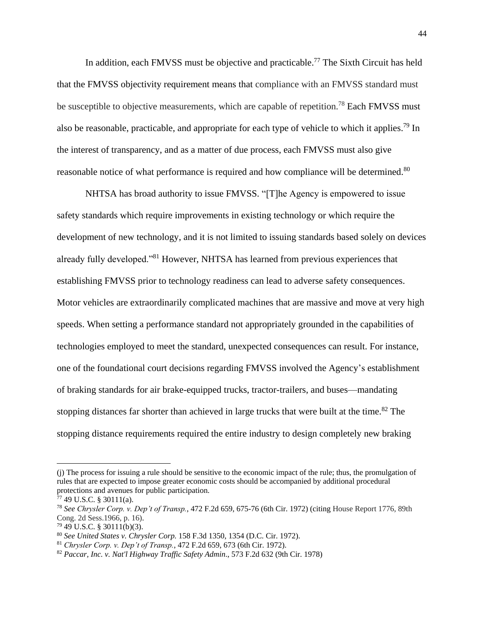In addition, each FMVSS must be objective and practicable.<sup>77</sup> The Sixth Circuit has held that the FMVSS objectivity requirement means that compliance with an FMVSS standard must be susceptible to objective measurements, which are capable of repetition.<sup>78</sup> Each FMVSS must also be reasonable, practicable, and appropriate for each type of vehicle to which it applies.<sup>79</sup> In the interest of transparency, and as a matter of due process, each FMVSS must also give reasonable notice of what performance is required and how compliance will be determined.<sup>80</sup>

NHTSA has broad authority to issue FMVSS. "[T]he Agency is empowered to issue safety standards which require improvements in existing technology or which require the development of new technology, and it is not limited to issuing standards based solely on devices already fully developed."<sup>81</sup> However, NHTSA has learned from previous experiences that establishing FMVSS prior to technology readiness can lead to adverse safety consequences. Motor vehicles are extraordinarily complicated machines that are massive and move at very high speeds. When setting a performance standard not appropriately grounded in the capabilities of technologies employed to meet the standard, unexpected consequences can result. For instance, one of the foundational court decisions regarding FMVSS involved the Agency's establishment of braking standards for air brake-equipped trucks, tractor-trailers, and buses—mandating stopping distances far shorter than achieved in large trucks that were built at the time.<sup>82</sup> The stopping distance requirements required the entire industry to design completely new braking

 $\overline{a}$ 

<sup>(</sup>j) The process for issuing a rule should be sensitive to the economic impact of the rule; thus, the promulgation of rules that are expected to impose greater economic costs should be accompanied by additional procedural protections and avenues for public participation.

 $77$  49 U.S.C. § 30111(a).

<sup>78</sup> *See Chrysler Corp. v. Dep't of Transp.*, 472 F.2d 659, 675-76 (6th Cir. 1972) (citing House Report 1776, 89th Cong. 2d Sess.1966, p. 16).

 $79$  49 U.S.C. § 30111(b)(3).

<sup>80</sup> *See United States v. Chrysler Corp.* 158 F.3d 1350, 1354 (D.C. Cir. 1972).

<sup>81</sup> *Chrysler Corp. v. Dep't of Transp.*, 472 F.2d 659, 673 (6th Cir. 1972).

<sup>82</sup> *Paccar, Inc. v. Nat'l Highway Traffic Safety Admin*., 573 F.2d 632 (9th Cir. 1978)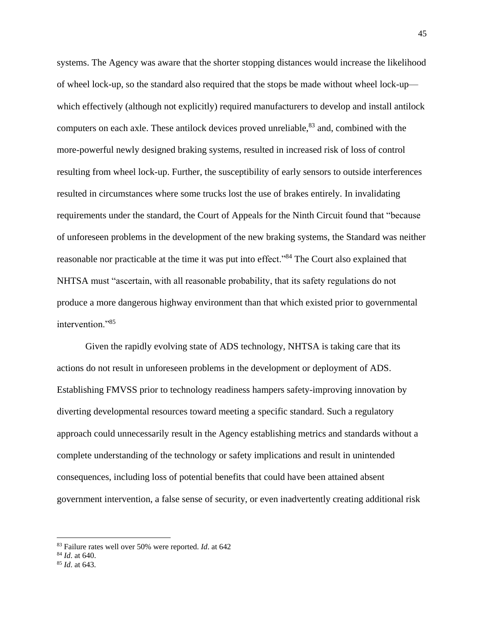systems. The Agency was aware that the shorter stopping distances would increase the likelihood of wheel lock-up, so the standard also required that the stops be made without wheel lock-up which effectively (although not explicitly) required manufacturers to develop and install antilock computers on each axle. These antilock devices proved unreliable,<sup>83</sup> and, combined with the more-powerful newly designed braking systems, resulted in increased risk of loss of control resulting from wheel lock-up. Further, the susceptibility of early sensors to outside interferences resulted in circumstances where some trucks lost the use of brakes entirely. In invalidating requirements under the standard, the Court of Appeals for the Ninth Circuit found that "because of unforeseen problems in the development of the new braking systems, the Standard was neither reasonable nor practicable at the time it was put into effect."<sup>84</sup> The Court also explained that NHTSA must "ascertain, with all reasonable probability, that its safety regulations do not produce a more dangerous highway environment than that which existed prior to governmental intervention."85

Given the rapidly evolving state of ADS technology, NHTSA is taking care that its actions do not result in unforeseen problems in the development or deployment of ADS. Establishing FMVSS prior to technology readiness hampers safety-improving innovation by diverting developmental resources toward meeting a specific standard. Such a regulatory approach could unnecessarily result in the Agency establishing metrics and standards without a complete understanding of the technology or safety implications and result in unintended consequences, including loss of potential benefits that could have been attained absent government intervention, a false sense of security, or even inadvertently creating additional risk

<sup>83</sup> Failure rates well over 50% were reported. *Id*. at 642

<sup>84</sup> *Id*. at 640.

<sup>85</sup> *Id*. at 643.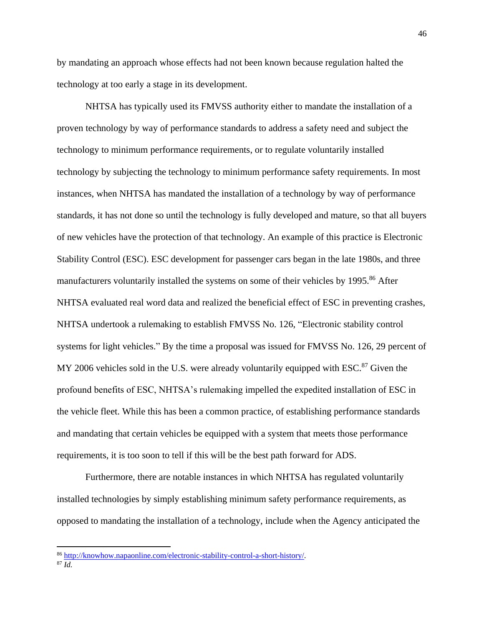by mandating an approach whose effects had not been known because regulation halted the technology at too early a stage in its development.

NHTSA has typically used its FMVSS authority either to mandate the installation of a proven technology by way of performance standards to address a safety need and subject the technology to minimum performance requirements, or to regulate voluntarily installed technology by subjecting the technology to minimum performance safety requirements. In most instances, when NHTSA has mandated the installation of a technology by way of performance standards, it has not done so until the technology is fully developed and mature, so that all buyers of new vehicles have the protection of that technology. An example of this practice is Electronic Stability Control (ESC). ESC development for passenger cars began in the late 1980s, and three manufacturers voluntarily installed the systems on some of their vehicles by 1995.<sup>86</sup> After NHTSA evaluated real word data and realized the beneficial effect of ESC in preventing crashes, NHTSA undertook a rulemaking to establish FMVSS No. 126, "Electronic stability control systems for light vehicles." By the time a proposal was issued for FMVSS No. 126, 29 percent of MY 2006 vehicles sold in the U.S. were already voluntarily equipped with  $\text{ESC}^{87}$  Given the profound benefits of ESC, NHTSA's rulemaking impelled the expedited installation of ESC in the vehicle fleet. While this has been a common practice, of establishing performance standards and mandating that certain vehicles be equipped with a system that meets those performance requirements, it is too soon to tell if this will be the best path forward for ADS.

Furthermore, there are notable instances in which NHTSA has regulated voluntarily installed technologies by simply establishing minimum safety performance requirements, as opposed to mandating the installation of a technology, include when the Agency anticipated the

<sup>86</sup> [http://knowhow.napaonline.com/electronic-stability-control-a-short-history/.](http://knowhow.napaonline.com/electronic-stability-control-a-short-history/)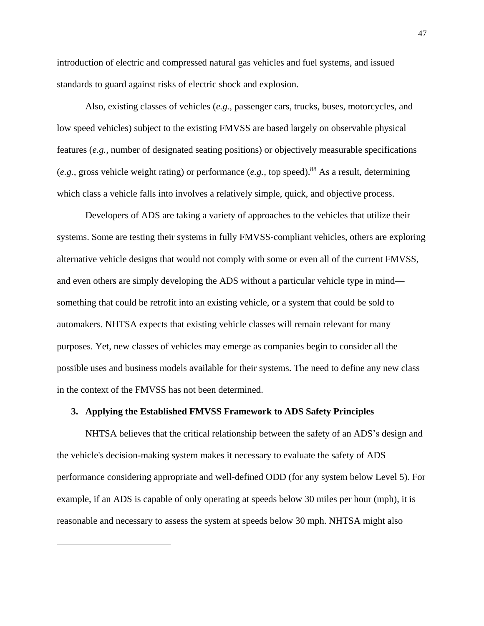introduction of electric and compressed natural gas vehicles and fuel systems, and issued standards to guard against risks of electric shock and explosion.

Also, existing classes of vehicles (*e.g.,* passenger cars, trucks, buses, motorcycles, and low speed vehicles) subject to the existing FMVSS are based largely on observable physical features (*e.g.,* number of designated seating positions) or objectively measurable specifications (*e.g.,* gross vehicle weight rating) or performance (*e.g.,* top speed).<sup>88</sup> As a result, determining which class a vehicle falls into involves a relatively simple, quick, and objective process.

Developers of ADS are taking a variety of approaches to the vehicles that utilize their systems. Some are testing their systems in fully FMVSS-compliant vehicles, others are exploring alternative vehicle designs that would not comply with some or even all of the current FMVSS, and even others are simply developing the ADS without a particular vehicle type in mind something that could be retrofit into an existing vehicle, or a system that could be sold to automakers. NHTSA expects that existing vehicle classes will remain relevant for many purposes. Yet, new classes of vehicles may emerge as companies begin to consider all the possible uses and business models available for their systems. The need to define any new class in the context of the FMVSS has not been determined.

### **3. Applying the Established FMVSS Framework to ADS Safety Principles**

 $\overline{\phantom{a}}$ 

NHTSA believes that the critical relationship between the safety of an ADS's design and the vehicle's decision-making system makes it necessary to evaluate the safety of ADS performance considering appropriate and well-defined ODD (for any system below Level 5). For example, if an ADS is capable of only operating at speeds below 30 miles per hour (mph), it is reasonable and necessary to assess the system at speeds below 30 mph. NHTSA might also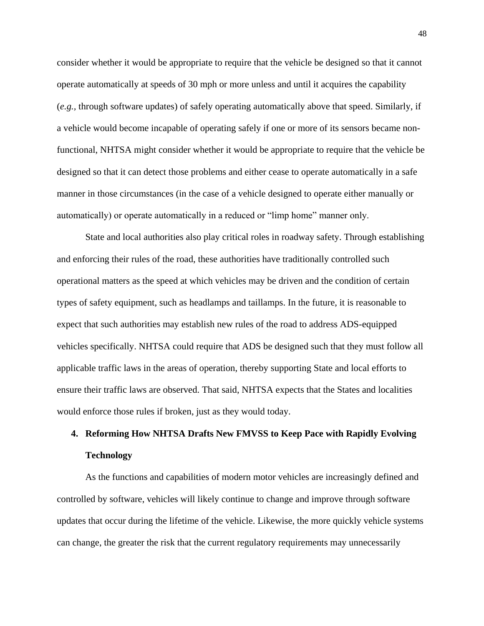consider whether it would be appropriate to require that the vehicle be designed so that it cannot operate automatically at speeds of 30 mph or more unless and until it acquires the capability (*e.g.,* through software updates) of safely operating automatically above that speed. Similarly, if a vehicle would become incapable of operating safely if one or more of its sensors became nonfunctional, NHTSA might consider whether it would be appropriate to require that the vehicle be designed so that it can detect those problems and either cease to operate automatically in a safe manner in those circumstances (in the case of a vehicle designed to operate either manually or automatically) or operate automatically in a reduced or "limp home" manner only.

State and local authorities also play critical roles in roadway safety. Through establishing and enforcing their rules of the road, these authorities have traditionally controlled such operational matters as the speed at which vehicles may be driven and the condition of certain types of safety equipment, such as headlamps and taillamps. In the future, it is reasonable to expect that such authorities may establish new rules of the road to address ADS-equipped vehicles specifically. NHTSA could require that ADS be designed such that they must follow all applicable traffic laws in the areas of operation, thereby supporting State and local efforts to ensure their traffic laws are observed. That said, NHTSA expects that the States and localities would enforce those rules if broken, just as they would today.

# **4. Reforming How NHTSA Drafts New FMVSS to Keep Pace with Rapidly Evolving Technology**

As the functions and capabilities of modern motor vehicles are increasingly defined and controlled by software, vehicles will likely continue to change and improve through software updates that occur during the lifetime of the vehicle. Likewise, the more quickly vehicle systems can change, the greater the risk that the current regulatory requirements may unnecessarily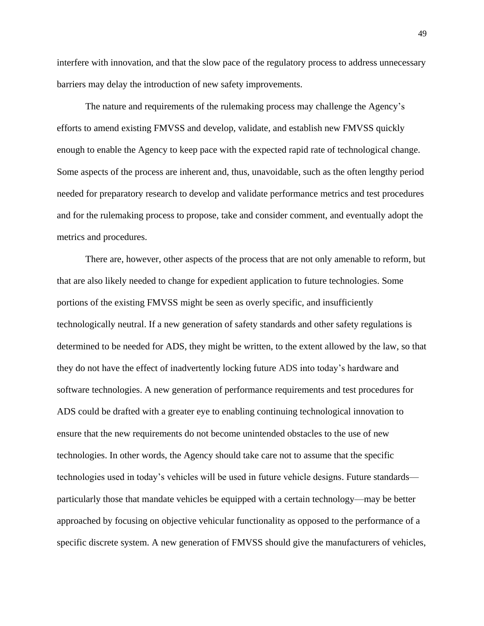interfere with innovation, and that the slow pace of the regulatory process to address unnecessary barriers may delay the introduction of new safety improvements.

The nature and requirements of the rulemaking process may challenge the Agency's efforts to amend existing FMVSS and develop, validate, and establish new FMVSS quickly enough to enable the Agency to keep pace with the expected rapid rate of technological change. Some aspects of the process are inherent and, thus, unavoidable, such as the often lengthy period needed for preparatory research to develop and validate performance metrics and test procedures and for the rulemaking process to propose, take and consider comment, and eventually adopt the metrics and procedures.

There are, however, other aspects of the process that are not only amenable to reform, but that are also likely needed to change for expedient application to future technologies. Some portions of the existing FMVSS might be seen as overly specific, and insufficiently technologically neutral. If a new generation of safety standards and other safety regulations is determined to be needed for ADS, they might be written, to the extent allowed by the law, so that they do not have the effect of inadvertently locking future ADS into today's hardware and software technologies. A new generation of performance requirements and test procedures for ADS could be drafted with a greater eye to enabling continuing technological innovation to ensure that the new requirements do not become unintended obstacles to the use of new technologies. In other words, the Agency should take care not to assume that the specific technologies used in today's vehicles will be used in future vehicle designs. Future standards particularly those that mandate vehicles be equipped with a certain technology—may be better approached by focusing on objective vehicular functionality as opposed to the performance of a specific discrete system. A new generation of FMVSS should give the manufacturers of vehicles,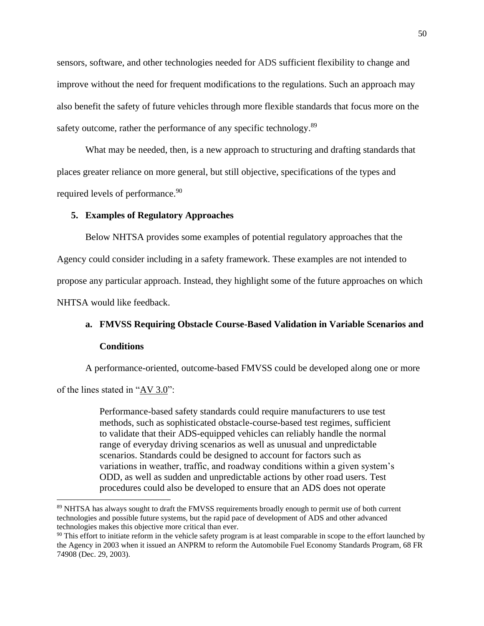sensors, software, and other technologies needed for ADS sufficient flexibility to change and improve without the need for frequent modifications to the regulations. Such an approach may also benefit the safety of future vehicles through more flexible standards that focus more on the safety outcome, rather the performance of any specific technology.<sup>89</sup>

What may be needed, then, is a new approach to structuring and drafting standards that places greater reliance on more general, but still objective, specifications of the types and required levels of performance.<sup>90</sup>

### **5. Examples of Regulatory Approaches**

Below NHTSA provides some examples of potential regulatory approaches that the Agency could consider including in a safety framework. These examples are not intended to propose any particular approach. Instead, they highlight some of the future approaches on which NHTSA would like feedback.

# **a. FMVSS Requiring Obstacle Course-Based Validation in Variable Scenarios and Conditions**

A performance-oriented, outcome-based FMVSS could be developed along one or more

of the lines stated in " $AV 3.0$ ":

 $\overline{\phantom{a}}$ 

Performance-based safety standards could require manufacturers to use test methods, such as sophisticated obstacle-course-based test regimes, sufficient to validate that their ADS-equipped vehicles can reliably handle the normal range of everyday driving scenarios as well as unusual and unpredictable scenarios. Standards could be designed to account for factors such as variations in weather, traffic, and roadway conditions within a given system's ODD, as well as sudden and unpredictable actions by other road users. Test procedures could also be developed to ensure that an ADS does not operate

<sup>89</sup> NHTSA has always sought to draft the FMVSS requirements broadly enough to permit use of both current technologies and possible future systems, but the rapid pace of development of ADS and other advanced technologies makes this objective more critical than ever.

<sup>&</sup>lt;sup>90</sup> This effort to initiate reform in the vehicle safety program is at least comparable in scope to the effort launched by the Agency in 2003 when it issued an ANPRM to reform the Automobile Fuel Economy Standards Program, 68 FR 74908 (Dec. 29, 2003).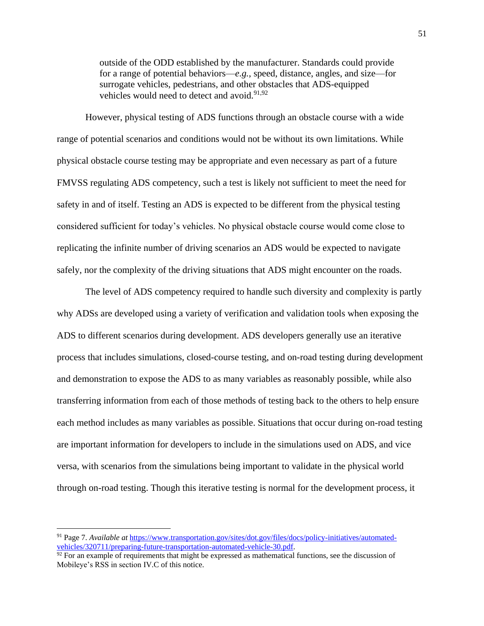outside of the ODD established by the manufacturer. Standards could provide for a range of potential behaviors—*e.g.*, speed, distance, angles, and size—for surrogate vehicles, pedestrians, and other obstacles that ADS-equipped vehicles would need to detect and avoid. $91,92$ 

However, physical testing of ADS functions through an obstacle course with a wide range of potential scenarios and conditions would not be without its own limitations. While physical obstacle course testing may be appropriate and even necessary as part of a future FMVSS regulating ADS competency, such a test is likely not sufficient to meet the need for safety in and of itself. Testing an ADS is expected to be different from the physical testing considered sufficient for today's vehicles. No physical obstacle course would come close to replicating the infinite number of driving scenarios an ADS would be expected to navigate safely, nor the complexity of the driving situations that ADS might encounter on the roads.

The level of ADS competency required to handle such diversity and complexity is partly why ADSs are developed using a variety of verification and validation tools when exposing the ADS to different scenarios during development. ADS developers generally use an iterative process that includes simulations, closed-course testing, and on-road testing during development and demonstration to expose the ADS to as many variables as reasonably possible, while also transferring information from each of those methods of testing back to the others to help ensure each method includes as many variables as possible. Situations that occur during on-road testing are important information for developers to include in the simulations used on ADS, and vice versa, with scenarios from the simulations being important to validate in the physical world through on-road testing. Though this iterative testing is normal for the development process, it

<sup>91</sup> Page 7. *Available at* [https://www.transportation.gov/sites/dot.gov/files/docs/policy-initiatives/automated](https://www.transportation.gov/sites/dot.gov/files/docs/policy-initiatives/automated-vehicles/320711/preparing-future-transportation-automated-vehicle-30.pdf)[vehicles/320711/preparing-future-transportation-automated-vehicle-30.pdf.](https://www.transportation.gov/sites/dot.gov/files/docs/policy-initiatives/automated-vehicles/320711/preparing-future-transportation-automated-vehicle-30.pdf)

 $92$  For an example of requirements that might be expressed as mathematical functions, see the discussion of Mobileye's RSS in section IV.C of this notice.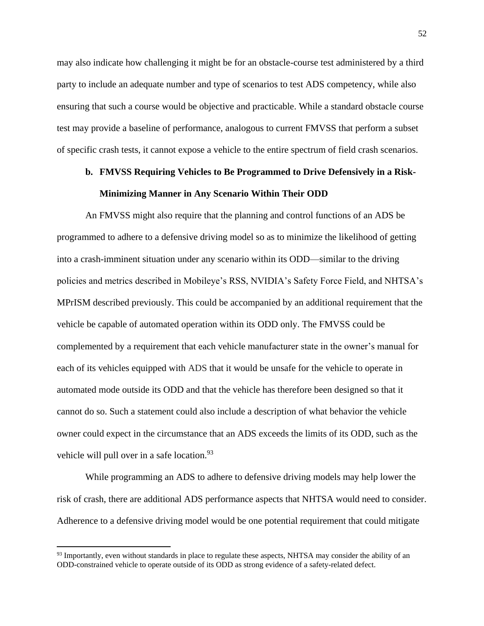may also indicate how challenging it might be for an obstacle-course test administered by a third party to include an adequate number and type of scenarios to test ADS competency, while also ensuring that such a course would be objective and practicable. While a standard obstacle course test may provide a baseline of performance, analogous to current FMVSS that perform a subset of specific crash tests, it cannot expose a vehicle to the entire spectrum of field crash scenarios.

# **b. FMVSS Requiring Vehicles to Be Programmed to Drive Defensively in a Risk-Minimizing Manner in Any Scenario Within Their ODD**

An FMVSS might also require that the planning and control functions of an ADS be programmed to adhere to a defensive driving model so as to minimize the likelihood of getting into a crash-imminent situation under any scenario within its ODD—similar to the driving policies and metrics described in Mobileye's RSS, NVIDIA's Safety Force Field, and NHTSA's MPrISM described previously. This could be accompanied by an additional requirement that the vehicle be capable of automated operation within its ODD only. The FMVSS could be complemented by a requirement that each vehicle manufacturer state in the owner's manual for each of its vehicles equipped with ADS that it would be unsafe for the vehicle to operate in automated mode outside its ODD and that the vehicle has therefore been designed so that it cannot do so. Such a statement could also include a description of what behavior the vehicle owner could expect in the circumstance that an ADS exceeds the limits of its ODD, such as the vehicle will pull over in a safe location.<sup>93</sup>

While programming an ADS to adhere to defensive driving models may help lower the risk of crash, there are additional ADS performance aspects that NHTSA would need to consider. Adherence to a defensive driving model would be one potential requirement that could mitigate

 $93$  Importantly, even without standards in place to regulate these aspects, NHTSA may consider the ability of an ODD-constrained vehicle to operate outside of its ODD as strong evidence of a safety-related defect.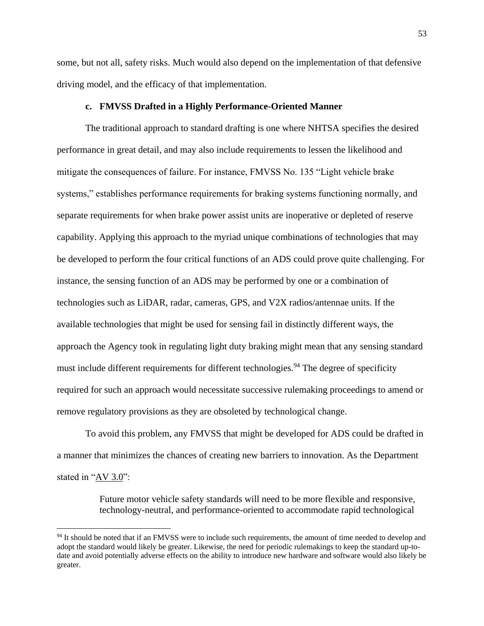some, but not all, safety risks. Much would also depend on the implementation of that defensive driving model, and the efficacy of that implementation.

### **c. FMVSS Drafted in a Highly Performance-Oriented Manner**

The traditional approach to standard drafting is one where NHTSA specifies the desired performance in great detail, and may also include requirements to lessen the likelihood and mitigate the consequences of failure. For instance, FMVSS No. 135 "Light vehicle brake systems," establishes performance requirements for braking systems functioning normally, and separate requirements for when brake power assist units are inoperative or depleted of reserve capability. Applying this approach to the myriad unique combinations of technologies that may be developed to perform the four critical functions of an ADS could prove quite challenging. For instance, the sensing function of an ADS may be performed by one or a combination of technologies such as LiDAR, radar, cameras, GPS, and V2X radios/antennae units. If the available technologies that might be used for sensing fail in distinctly different ways, the approach the Agency took in regulating light duty braking might mean that any sensing standard must include different requirements for different technologies.<sup>94</sup> The degree of specificity required for such an approach would necessitate successive rulemaking proceedings to amend or remove regulatory provisions as they are obsoleted by technological change.

To avoid this problem, any FMVSS that might be developed for ADS could be drafted in a manner that minimizes the chances of creating new barriers to innovation. As the Department stated in "AV 3.0":

> Future motor vehicle safety standards will need to be more flexible and responsive, technology-neutral, and performance-oriented to accommodate rapid technological

<sup>&</sup>lt;sup>94</sup> It should be noted that if an FMVSS were to include such requirements, the amount of time needed to develop and adopt the standard would likely be greater. Likewise, the need for periodic rulemakings to keep the standard up-todate and avoid potentially adverse effects on the ability to introduce new hardware and software would also likely be greater.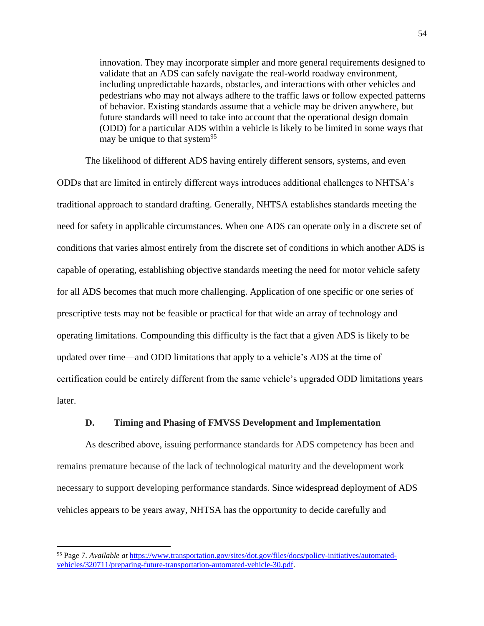innovation. They may incorporate simpler and more general requirements designed to validate that an ADS can safely navigate the real-world roadway environment, including unpredictable hazards, obstacles, and interactions with other vehicles and pedestrians who may not always adhere to the traffic laws or follow expected patterns of behavior. Existing standards assume that a vehicle may be driven anywhere, but future standards will need to take into account that the operational design domain (ODD) for a particular ADS within a vehicle is likely to be limited in some ways that may be unique to that system<sup>95</sup>

The likelihood of different ADS having entirely different sensors, systems, and even ODDs that are limited in entirely different ways introduces additional challenges to NHTSA's traditional approach to standard drafting. Generally, NHTSA establishes standards meeting the need for safety in applicable circumstances. When one ADS can operate only in a discrete set of conditions that varies almost entirely from the discrete set of conditions in which another ADS is capable of operating, establishing objective standards meeting the need for motor vehicle safety for all ADS becomes that much more challenging. Application of one specific or one series of prescriptive tests may not be feasible or practical for that wide an array of technology and operating limitations. Compounding this difficulty is the fact that a given ADS is likely to be updated over time—and ODD limitations that apply to a vehicle's ADS at the time of certification could be entirely different from the same vehicle's upgraded ODD limitations years later.

## **D. Timing and Phasing of FMVSS Development and Implementation**

As described above, issuing performance standards for ADS competency has been and remains premature because of the lack of technological maturity and the development work necessary to support developing performance standards. Since widespread deployment of ADS vehicles appears to be years away, NHTSA has the opportunity to decide carefully and

<sup>95</sup> Page 7. *Available at* [https://www.transportation.gov/sites/dot.gov/files/docs/policy-initiatives/automated](https://www.transportation.gov/sites/dot.gov/files/docs/policy-initiatives/automated-vehicles/320711/preparing-future-transportation-automated-vehicle-30.pdf)[vehicles/320711/preparing-future-transportation-automated-vehicle-30.pdf.](https://www.transportation.gov/sites/dot.gov/files/docs/policy-initiatives/automated-vehicles/320711/preparing-future-transportation-automated-vehicle-30.pdf)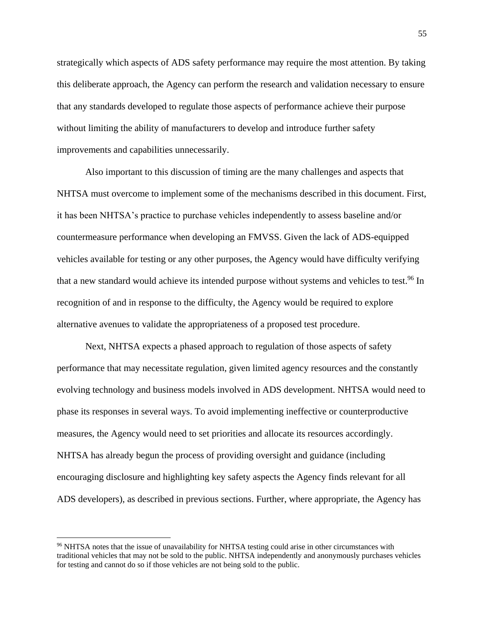strategically which aspects of ADS safety performance may require the most attention. By taking this deliberate approach, the Agency can perform the research and validation necessary to ensure that any standards developed to regulate those aspects of performance achieve their purpose without limiting the ability of manufacturers to develop and introduce further safety improvements and capabilities unnecessarily.

Also important to this discussion of timing are the many challenges and aspects that NHTSA must overcome to implement some of the mechanisms described in this document. First, it has been NHTSA's practice to purchase vehicles independently to assess baseline and/or countermeasure performance when developing an FMVSS. Given the lack of ADS-equipped vehicles available for testing or any other purposes, the Agency would have difficulty verifying that a new standard would achieve its intended purpose without systems and vehicles to test.<sup>96</sup> In recognition of and in response to the difficulty, the Agency would be required to explore alternative avenues to validate the appropriateness of a proposed test procedure.

Next, NHTSA expects a phased approach to regulation of those aspects of safety performance that may necessitate regulation, given limited agency resources and the constantly evolving technology and business models involved in ADS development. NHTSA would need to phase its responses in several ways. To avoid implementing ineffective or counterproductive measures, the Agency would need to set priorities and allocate its resources accordingly. NHTSA has already begun the process of providing oversight and guidance (including encouraging disclosure and highlighting key safety aspects the Agency finds relevant for all ADS developers), as described in previous sections. Further, where appropriate, the Agency has

<sup>96</sup> NHTSA notes that the issue of unavailability for NHTSA testing could arise in other circumstances with traditional vehicles that may not be sold to the public. NHTSA independently and anonymously purchases vehicles for testing and cannot do so if those vehicles are not being sold to the public.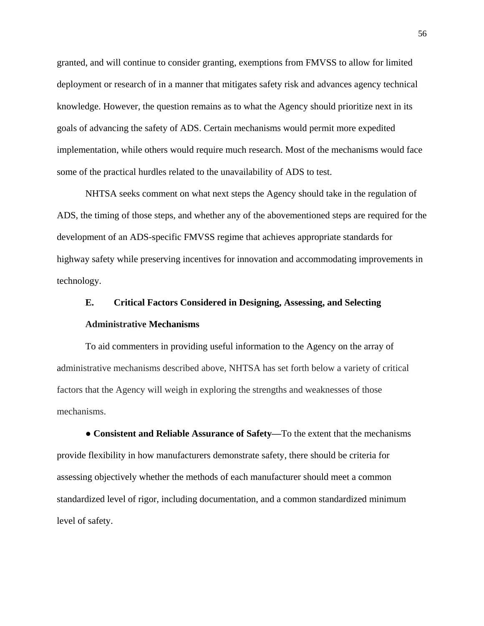granted, and will continue to consider granting, exemptions from FMVSS to allow for limited deployment or research of in a manner that mitigates safety risk and advances agency technical knowledge. However, the question remains as to what the Agency should prioritize next in its goals of advancing the safety of ADS. Certain mechanisms would permit more expedited implementation, while others would require much research. Most of the mechanisms would face some of the practical hurdles related to the unavailability of ADS to test.

NHTSA seeks comment on what next steps the Agency should take in the regulation of ADS, the timing of those steps, and whether any of the abovementioned steps are required for the development of an ADS-specific FMVSS regime that achieves appropriate standards for highway safety while preserving incentives for innovation and accommodating improvements in technology.

# **E. Critical Factors Considered in Designing, Assessing, and Selecting**

# **Administrative Mechanisms**

To aid commenters in providing useful information to the Agency on the array of administrative mechanisms described above, NHTSA has set forth below a variety of critical factors that the Agency will weigh in exploring the strengths and weaknesses of those mechanisms.

● **Consistent and Reliable Assurance of Safety—**To the extent that the mechanisms provide flexibility in how manufacturers demonstrate safety, there should be criteria for assessing objectively whether the methods of each manufacturer should meet a common standardized level of rigor, including documentation, and a common standardized minimum level of safety.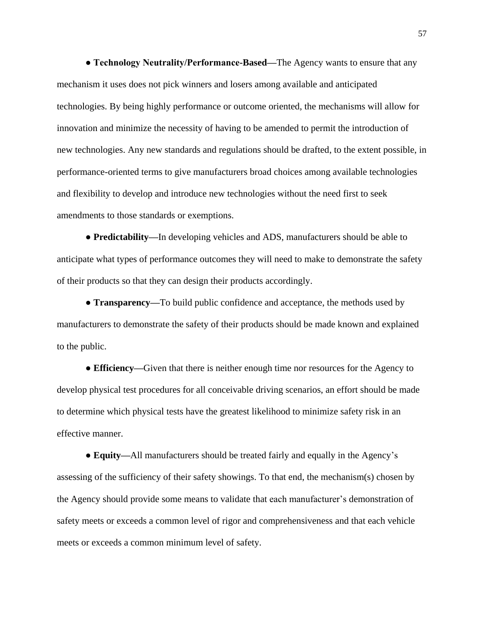**● Technology Neutrality/Performance-Based—**The Agency wants to ensure that any mechanism it uses does not pick winners and losers among available and anticipated technologies. By being highly performance or outcome oriented, the mechanisms will allow for innovation and minimize the necessity of having to be amended to permit the introduction of new technologies. Any new standards and regulations should be drafted, to the extent possible, in performance-oriented terms to give manufacturers broad choices among available technologies and flexibility to develop and introduce new technologies without the need first to seek amendments to those standards or exemptions.

● **Predictability—**In developing vehicles and ADS, manufacturers should be able to anticipate what types of performance outcomes they will need to make to demonstrate the safety of their products so that they can design their products accordingly.

● **Transparency—**To build public confidence and acceptance, the methods used by manufacturers to demonstrate the safety of their products should be made known and explained to the public.

● **Efficiency—**Given that there is neither enough time nor resources for the Agency to develop physical test procedures for all conceivable driving scenarios, an effort should be made to determine which physical tests have the greatest likelihood to minimize safety risk in an effective manner.

● **Equity—**All manufacturers should be treated fairly and equally in the Agency's assessing of the sufficiency of their safety showings. To that end, the mechanism(s) chosen by the Agency should provide some means to validate that each manufacturer's demonstration of safety meets or exceeds a common level of rigor and comprehensiveness and that each vehicle meets or exceeds a common minimum level of safety.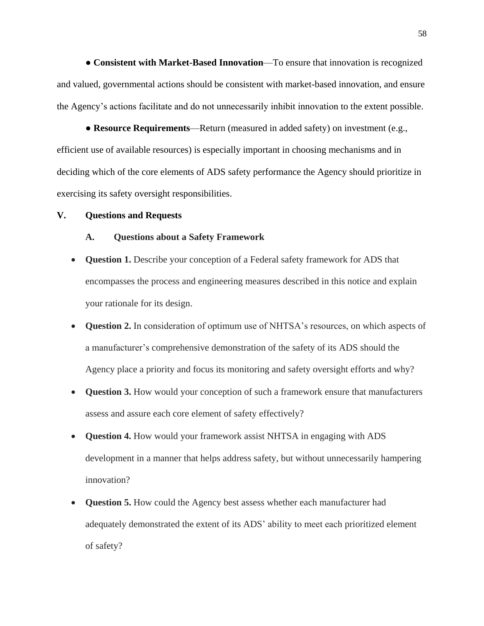● **Consistent with Market-Based Innovation**—To ensure that innovation is recognized and valued, governmental actions should be consistent with market-based innovation, and ensure the Agency's actions facilitate and do not unnecessarily inhibit innovation to the extent possible.

● **Resource Requirements**—Return (measured in added safety) on investment (e.g., efficient use of available resources) is especially important in choosing mechanisms and in deciding which of the core elements of ADS safety performance the Agency should prioritize in exercising its safety oversight responsibilities.

### **V. Questions and Requests**

### **A. Questions about a Safety Framework**

- **Question 1.** Describe your conception of a Federal safety framework for ADS that encompasses the process and engineering measures described in this notice and explain your rationale for its design.
- **Question 2.** In consideration of optimum use of NHTSA's resources, on which aspects of a manufacturer's comprehensive demonstration of the safety of its ADS should the Agency place a priority and focus its monitoring and safety oversight efforts and why?
- **Question 3.** How would your conception of such a framework ensure that manufacturers assess and assure each core element of safety effectively?
- **Question 4.** How would your framework assist NHTSA in engaging with ADS development in a manner that helps address safety, but without unnecessarily hampering innovation?
- **Question 5.** How could the Agency best assess whether each manufacturer had adequately demonstrated the extent of its ADS' ability to meet each prioritized element of safety?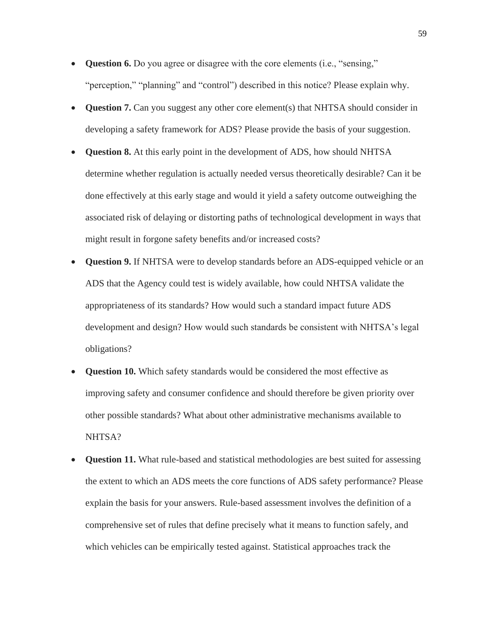- **Question 6.** Do you agree or disagree with the core elements (i.e., "sensing," "perception," "planning" and "control") described in this notice? Please explain why.
- **Question 7.** Can you suggest any other core element(s) that NHTSA should consider in developing a safety framework for ADS? Please provide the basis of your suggestion.
- **Question 8.** At this early point in the development of ADS, how should NHTSA determine whether regulation is actually needed versus theoretically desirable? Can it be done effectively at this early stage and would it yield a safety outcome outweighing the associated risk of delaying or distorting paths of technological development in ways that might result in forgone safety benefits and/or increased costs?
- **Question 9.** If NHTSA were to develop standards before an ADS-equipped vehicle or an ADS that the Agency could test is widely available, how could NHTSA validate the appropriateness of its standards? How would such a standard impact future ADS development and design? How would such standards be consistent with NHTSA's legal obligations?
- **Question 10.** Which safety standards would be considered the most effective as improving safety and consumer confidence and should therefore be given priority over other possible standards? What about other administrative mechanisms available to NHTSA?
- **Question 11.** What rule-based and statistical methodologies are best suited for assessing the extent to which an ADS meets the core functions of ADS safety performance? Please explain the basis for your answers. Rule-based assessment involves the definition of a comprehensive set of rules that define precisely what it means to function safely, and which vehicles can be empirically tested against. Statistical approaches track the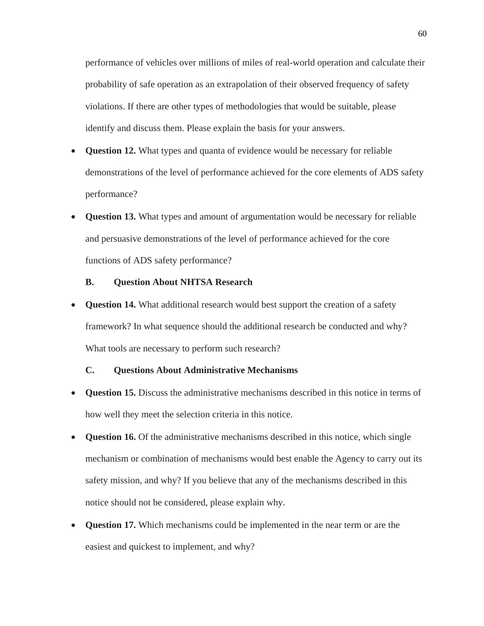performance of vehicles over millions of miles of real-world operation and calculate their probability of safe operation as an extrapolation of their observed frequency of safety violations. If there are other types of methodologies that would be suitable, please identify and discuss them. Please explain the basis for your answers.

- **Question 12.** What types and quanta of evidence would be necessary for reliable demonstrations of the level of performance achieved for the core elements of ADS safety performance?
- **Question 13.** What types and amount of argumentation would be necessary for reliable and persuasive demonstrations of the level of performance achieved for the core functions of ADS safety performance?

# **B. Question About NHTSA Research**

**Question 14.** What additional research would best support the creation of a safety framework? In what sequence should the additional research be conducted and why? What tools are necessary to perform such research?

# **C. Questions About Administrative Mechanisms**

- **Question 15.** Discuss the administrative mechanisms described in this notice in terms of how well they meet the selection criteria in this notice.
- **Question 16.** Of the administrative mechanisms described in this notice, which single mechanism or combination of mechanisms would best enable the Agency to carry out its safety mission, and why? If you believe that any of the mechanisms described in this notice should not be considered, please explain why.
- **Question 17.** Which mechanisms could be implemented in the near term or are the easiest and quickest to implement, and why?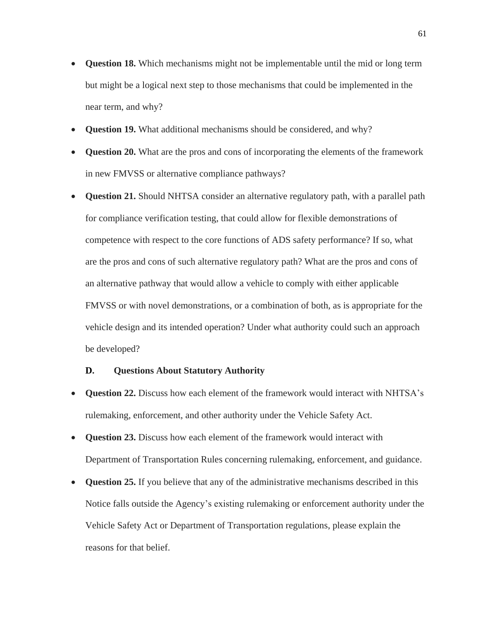- **Question 18.** Which mechanisms might not be implementable until the mid or long term but might be a logical next step to those mechanisms that could be implemented in the near term, and why?
- **Question 19.** What additional mechanisms should be considered, and why?
- **Question 20.** What are the pros and cons of incorporating the elements of the framework in new FMVSS or alternative compliance pathways?
- **Question 21.** Should NHTSA consider an alternative regulatory path, with a parallel path for compliance verification testing, that could allow for flexible demonstrations of competence with respect to the core functions of ADS safety performance? If so, what are the pros and cons of such alternative regulatory path? What are the pros and cons of an alternative pathway that would allow a vehicle to comply with either applicable FMVSS or with novel demonstrations, or a combination of both, as is appropriate for the vehicle design and its intended operation? Under what authority could such an approach be developed?

# **D. Questions About Statutory Authority**

- **Question 22.** Discuss how each element of the framework would interact with NHTSA's rulemaking, enforcement, and other authority under the Vehicle Safety Act.
- **Question 23.** Discuss how each element of the framework would interact with Department of Transportation Rules concerning rulemaking, enforcement, and guidance.
- **Question 25.** If you believe that any of the administrative mechanisms described in this Notice falls outside the Agency's existing rulemaking or enforcement authority under the Vehicle Safety Act or Department of Transportation regulations, please explain the reasons for that belief.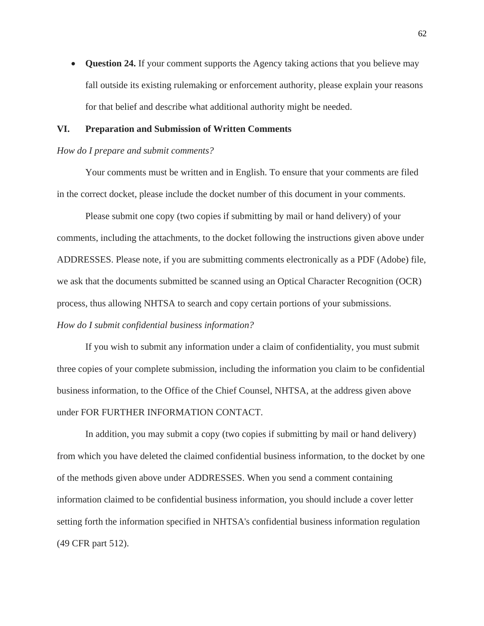• **Question 24.** If your comment supports the Agency taking actions that you believe may fall outside its existing rulemaking or enforcement authority, please explain your reasons for that belief and describe what additional authority might be needed.

### **VI. Preparation and Submission of Written Comments**

#### *How do I prepare and submit comments?*

Your comments must be written and in English. To ensure that your comments are filed in the correct docket, please include the docket number of this document in your comments.

Please submit one copy (two copies if submitting by mail or hand delivery) of your comments, including the attachments, to the docket following the instructions given above under ADDRESSES. Please note, if you are submitting comments electronically as a PDF (Adobe) file, we ask that the documents submitted be scanned using an Optical Character Recognition (OCR) process, thus allowing NHTSA to search and copy certain portions of your submissions. *How do I submit confidential business information?*

If you wish to submit any information under a claim of confidentiality, you must submit three copies of your complete submission, including the information you claim to be confidential business information, to the Office of the Chief Counsel, NHTSA, at the address given above under FOR FURTHER INFORMATION CONTACT.

In addition, you may submit a copy (two copies if submitting by mail or hand delivery) from which you have deleted the claimed confidential business information, to the docket by one of the methods given above under ADDRESSES. When you send a comment containing information claimed to be confidential business information, you should include a cover letter setting forth the information specified in NHTSA's confidential business information regulation (49 CFR part 512).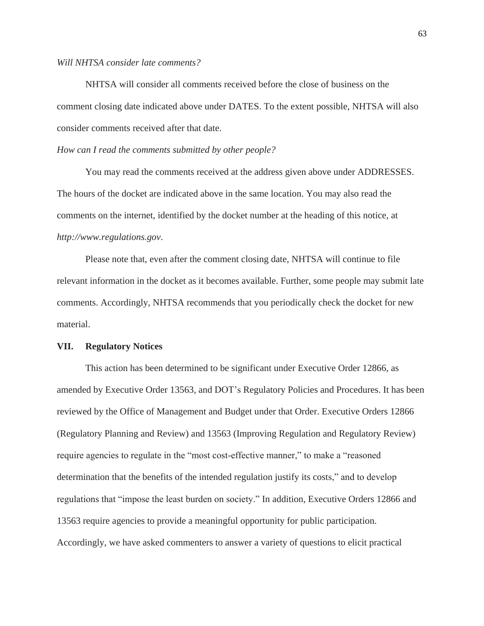### *Will NHTSA consider late comments?*

NHTSA will consider all comments received before the close of business on the comment closing date indicated above under DATES. To the extent possible, NHTSA will also consider comments received after that date.

### *How can I read the comments submitted by other people?*

You may read the comments received at the address given above under ADDRESSES. The hours of the docket are indicated above in the same location. You may also read the comments on the internet, identified by the docket number at the heading of this notice, at *http://www.regulations.gov*.

Please note that, even after the comment closing date, NHTSA will continue to file relevant information in the docket as it becomes available. Further, some people may submit late comments. Accordingly, NHTSA recommends that you periodically check the docket for new material.

### **VII. Regulatory Notices**

This action has been determined to be significant under Executive Order 12866, as amended by Executive Order 13563, and DOT's Regulatory Policies and Procedures. It has been reviewed by the Office of Management and Budget under that Order. Executive Orders 12866 (Regulatory Planning and Review) and 13563 (Improving Regulation and Regulatory Review) require agencies to regulate in the "most cost-effective manner," to make a "reasoned determination that the benefits of the intended regulation justify its costs," and to develop regulations that "impose the least burden on society." In addition, Executive Orders 12866 and 13563 require agencies to provide a meaningful opportunity for public participation. Accordingly, we have asked commenters to answer a variety of questions to elicit practical